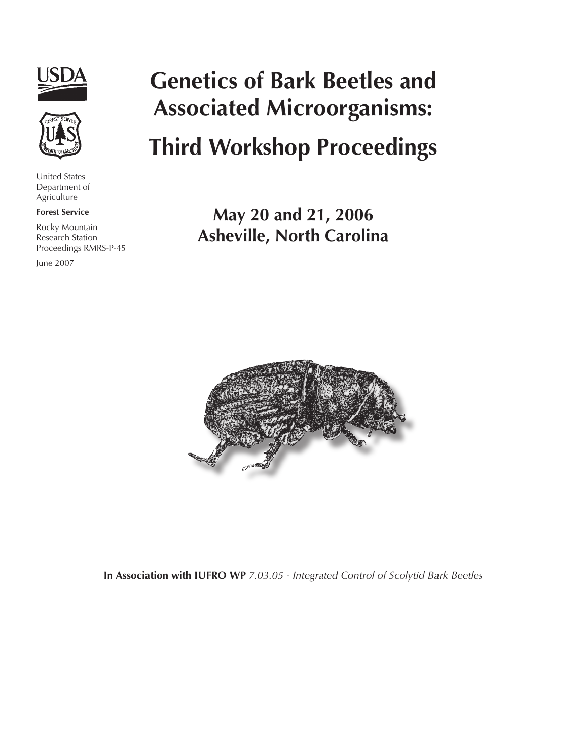



United States Department of Agriculture

#### **Forest Service**

Rocky Mountain Research Station Proceedings RMRS-P-45

June 2007

# **Genetics of Bark Beetles and Associated Microorganisms:**

# **Third Workshop Proceedings**

**May 20 and 21, 2006 Asheville, North Carolina**



**In Association with IUFRO WP** *7.03.05 - Integrated Control of Scolytid Bark Beetles*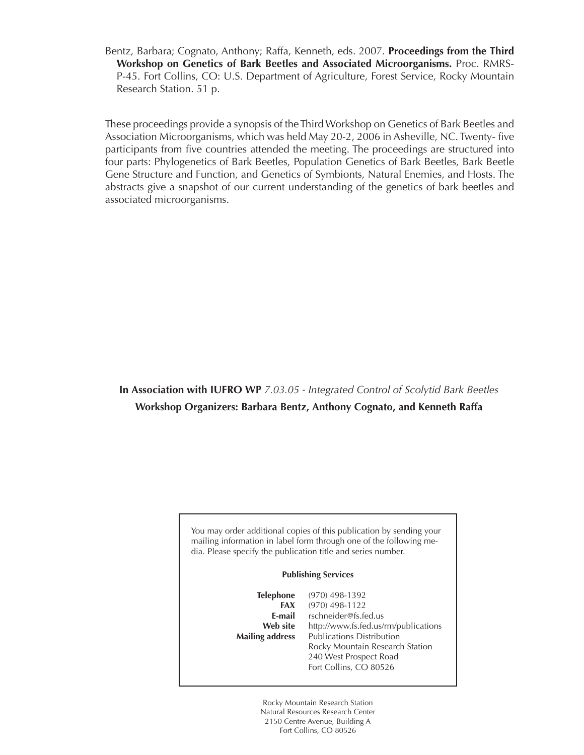Bentz, Barbara; Cognato, Anthony; Raffa, Kenneth, eds. 2007. **Proceedings from the Third Workshop on Genetics of Bark Beetles and Associated Microorganisms.** Proc. RMRS-P-45. Fort Collins, CO: U.S. Department of Agriculture, Forest Service, Rocky Mountain Research Station. 51 p.

These proceedings provide a synopsis of the Third Workshop on Genetics of Bark Beetles and Association Microorganisms, which was held May 20-2, 2006 in Asheville, NC. Twenty- five participants from five countries attended the meeting. The proceedings are structured into four parts: Phylogenetics of Bark Beetles, Population Genetics of Bark Beetles, Bark Beetle Gene Structure and Function, and Genetics of Symbionts, Natural Enemies, and Hosts. The abstracts give a snapshot of our current understanding of the genetics of bark beetles and associated microorganisms.

### **In Association with IUFRO WP** *7.03.05 - Integrated Control of Scolytid Bark Beetles* **Workshop Organizers: Barbara Bentz, Anthony Cognato, and Kenneth Raffa**

You may order additional copies of this publication by sending your mailing information in label form through one of the following media. Please specify the publication title and series number.

#### **Publishing Services**

**Telephone** (970) 498-1392 **FAX** (970) 498-1122 **E-mail** rschneider@fs.fed.us **Web site** http://www.fs.fed.us/rm/publications **Mailing address** Publications Distribution Rocky Mountain Research Station 240 West Prospect Road Fort Collins, CO 80526

> Rocky Mountain Research Station Natural Resources Research Center 2150 Centre Avenue, Building A Fort Collins, CO 80526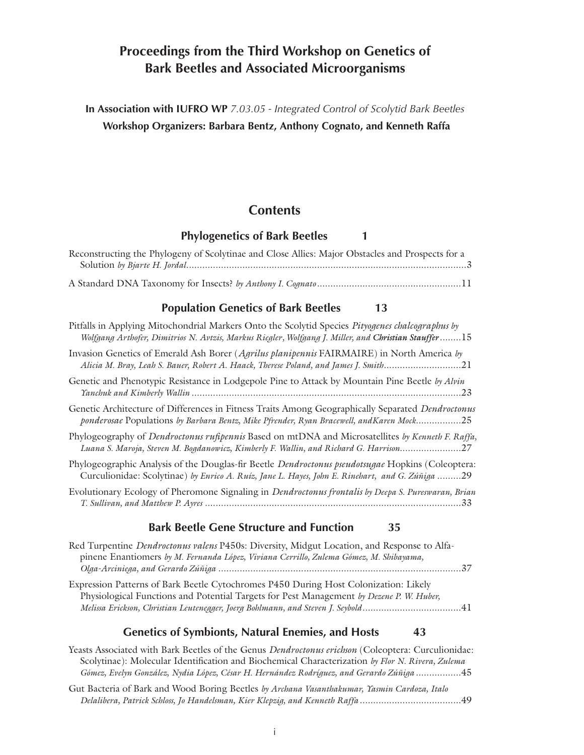## **Proceedings from the Third Workshop on Genetics of Bark Beetles and Associated Microorganisms**

**In Association with IUFRO WP** *7.03.05 - Integrated Control of Scolytid Bark Beetles* **Workshop Organizers: Barbara Bentz, Anthony Cognato, and Kenneth Raffa**

### **Contents**

### **Phylogenetics of Bark Beetles 1**

| Reconstructing the Phylogeny of Scolytinae and Close Allies: Major Obstacles and Prospects for a |  |
|--------------------------------------------------------------------------------------------------|--|
|                                                                                                  |  |
|                                                                                                  |  |
|                                                                                                  |  |

### **Population Genetics of Bark Beetles 13**

| Pitfalls in Applying Mitochondrial Markers Onto the Scolytid Species Pityogenes chalcographus by<br>Wolfgang Arthofer, Dimitrios N. Avtzis, Markus Riegler, Wolfgang J. Miller, and Christian Stauffer15    |
|-------------------------------------------------------------------------------------------------------------------------------------------------------------------------------------------------------------|
| Invasion Genetics of Emerald Ash Borer (Agrilus planipennis FAIRMAIRE) in North America by<br>Alicia M. Bray, Leah S. Bauer, Robert A. Haack, Therese Poland, and James J. Smith21                          |
| Genetic and Phenotypic Resistance in Lodgepole Pine to Attack by Mountain Pine Beetle by Alvin                                                                                                              |
| Genetic Architecture of Differences in Fitness Traits Among Geographically Separated Dendroctonus<br>ponderosae Populations by Barbara Bentz, Mike Pfrender, Ryan Bracewell, and Karen Mock25               |
| Phylogeography of Dendroctonus rufipennis Based on mtDNA and Microsatellites by Kenneth F. Raffa,<br>Luana S. Maroja, Steven M. Bogdanowicz, Kimberly F. Wallin, and Richard G. Harrison27                  |
| Phylogeographic Analysis of the Douglas-fir Beetle <i>Dendroctonus pseudotsugae</i> Hopkins (Coleoptera:<br>Curculionidae: Scolytinae) by Enrico A. Ruíz, Jane L. Hayes, John E. Rinehart, and G. Zúñiga 29 |
| Evolutionary Ecology of Pheromone Signaling in <i>Dendroctonus frontalis by Deepa S. Pureswaran</i> , Brian                                                                                                 |
|                                                                                                                                                                                                             |

### **Bark Beetle Gene Structure and Function 35**

| Red Turpentine <i>Dendroctonus valens</i> P450s: Diversity, Midgut Location, and Response to Alfa- |  |
|----------------------------------------------------------------------------------------------------|--|
| pinene Enantiomers by M. Fernanda López, Viviana Cerrillo, Zulema Gómez, M. Shibayama,             |  |
|                                                                                                    |  |
| Expression Patterns of Bark Beetle Cytochromes P450 During Host Colonization: Likely               |  |
| Physiological Functions and Potential Targets for Pest Management by Dezene P. W. Huber,           |  |
| Melissa Erickson, Christian Leutenegger, Joerg Bohlmann, and Steven J. Seybold41                   |  |
|                                                                                                    |  |

### **Genetics of Symbionts, Natural Enemies, and Hosts 43**

| Yeasts Associated with Bark Beetles of the Genus <i>Dendroctonus erichson</i> (Coleoptera: Curculionidae: |
|-----------------------------------------------------------------------------------------------------------|
| Scolytinae): Molecular Identification and Biochemical Characterization by Flor N. Rivera, Zulema          |
| Gómez, Evelyn González, Nydia López, César H. Hernández Rodríguez, and Gerardo Zúñiga 45                  |
| Gut Bacteria of Bark and Wood Boring Beetles by Archana Vasanthakumar, Yasmin Cardoza, Italo              |
|                                                                                                           |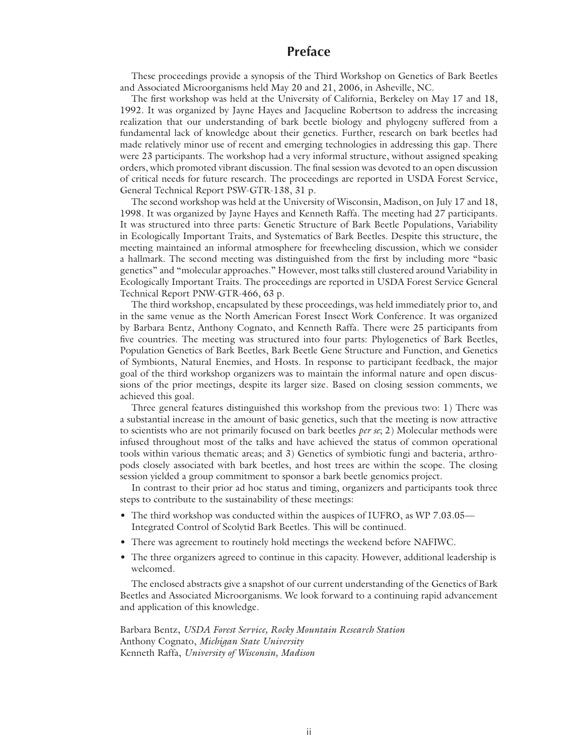### **Preface**

These proceedings provide a synopsis of the Third Workshop on Genetics of Bark Beetles and Associated Microorganisms held May 20 and 21, 2006, in Asheville, NC.

The first workshop was held at the University of California, Berkeley on May 17 and 18, 1992. It was organized by Jayne Hayes and Jacqueline Robertson to address the increasing realization that our understanding of bark beetle biology and phylogeny suffered from a fundamental lack of knowledge about their genetics. Further, research on bark beetles had made relatively minor use of recent and emerging technologies in addressing this gap. There were 23 participants. The workshop had a very informal structure, without assigned speaking orders, which promoted vibrant discussion. The final session was devoted to an open discussion of critical needs for future research. The proceedings are reported in USDA Forest Service, General Technical Report PSW-GTR-138, 31 p.

The second workshop was held at the University of Wisconsin, Madison, on July 17 and 18, 1998. It was organized by Jayne Hayes and Kenneth Raffa. The meeting had 27 participants. It was structured into three parts: Genetic Structure of Bark Beetle Populations, Variability in Ecologically Important Traits, and Systematics of Bark Beetles. Despite this structure, the meeting maintained an informal atmosphere for freewheeling discussion, which we consider a hallmark. The second meeting was distinguished from the first by including more "basic genetics" and "molecular approaches." However, most talks still clustered around Variability in Ecologically Important Traits. The proceedings are reported in USDA Forest Service General Technical Report PNW-GTR-466, 63 p.

The third workshop, encapsulated by these proceedings, was held immediately prior to, and in the same venue as the North American Forest Insect Work Conference. It was organized by Barbara Bentz, Anthony Cognato, and Kenneth Raffa. There were 25 participants from five countries. The meeting was structured into four parts: Phylogenetics of Bark Beetles, Population Genetics of Bark Beetles, Bark Beetle Gene Structure and Function, and Genetics of Symbionts, Natural Enemies, and Hosts. In response to participant feedback, the major goal of the third workshop organizers was to maintain the informal nature and open discussions of the prior meetings, despite its larger size. Based on closing session comments, we achieved this goal.

Three general features distinguished this workshop from the previous two: 1) There was a substantial increase in the amount of basic genetics, such that the meeting is now attractive to scientists who are not primarily focused on bark beetles *per se*; 2) Molecular methods were infused throughout most of the talks and have achieved the status of common operational tools within various thematic areas; and 3) Genetics of symbiotic fungi and bacteria, arthropods closely associated with bark beetles, and host trees are within the scope. The closing session yielded a group commitment to sponsor a bark beetle genomics project.

In contrast to their prior ad hoc status and timing, organizers and participants took three steps to contribute to the sustainability of these meetings:

- The third workshop was conducted within the auspices of IUFRO, as WP 7.03.05— Integrated Control of Scolytid Bark Beetles. This will be continued.
- There was agreement to routinely hold meetings the weekend before NAFIWC.
- The three organizers agreed to continue in this capacity. However, additional leadership is welcomed.

The enclosed abstracts give a snapshot of our current understanding of the Genetics of Bark Beetles and Associated Microorganisms. We look forward to a continuing rapid advancement and application of this knowledge.

Barbara Bentz, *USDA Forest Service, Rocky Mountain Research Station* Anthony Cognato, *Michigan State University* Kenneth Raffa, *University of Wisconsin, Madison*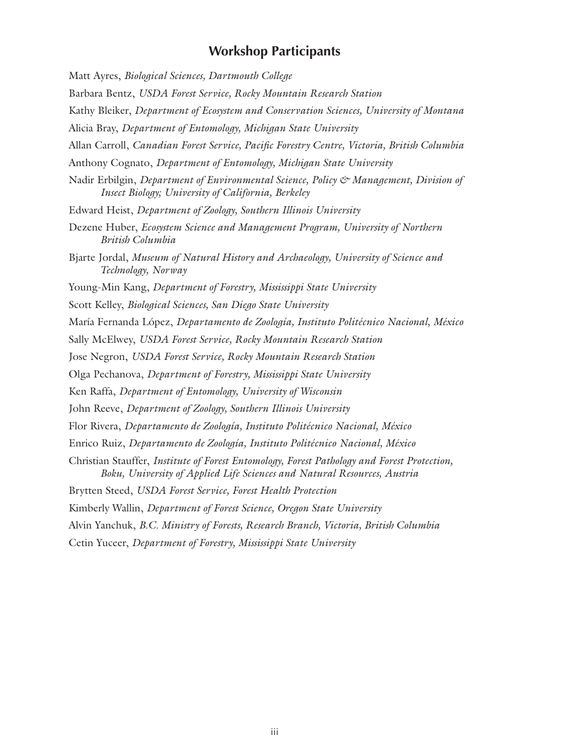### **Workshop Participants**

Matt Ayres, *Biological Sciences, Dartmouth College* Barbara Bentz, *USDA Forest Service, Rocky Mountain Research Station* Kathy Bleiker, *Department of Ecosystem and Conservation Sciences, University of Montana* Alicia Bray, *Department of Entomology, Michigan State University* Allan Carroll, *Canadian Forest Service, Pacific Forestry Centre, Victoria, British Columbia* Anthony Cognato, *Department of Entomology, Michigan State University* Nadir Erbilgin, *Department of Environmental Science, Policy & Management, Division of Insect Biology; University of California, Berkeley* Edward Heist, *Department of Zoology, Southern Illinois University* Dezene Huber, *Ecosystem Science and Management Program, University of Northern British Columbia* Bjarte Jordal, *Museum of Natural History and Archaeology, University of Science and Technology, Norway* Young-Min Kang, *Department of Forestry, Mississippi State University* Scott Kelley, *Biological Sciences, San Diego State University* María Fernanda López, *Departamento de Zoología, Instituto Politécnico Nacional, México* Sally McElwey, *USDA Forest Service, Rocky Mountain Research Station* Jose Negron, *USDA Forest Service, Rocky Mountain Research Station* Olga Pechanova, *Department of Forestry, Mississippi State University* Ken Raffa, *Department of Entomology, University of Wisconsin* John Reeve, *Department of Zoology, Southern Illinois University* Flor Rivera, *Departamento de Zoología, Instituto Politécnico Nacional, México* Enrico Ruiz, *Departamento de Zoología, Instituto Politécnico Nacional, México* Christian Stauffer, *Institute of Forest Entomology, Forest Pathology and Forest Protection, Boku, University of Applied Life Sciences and Natural Resources, Austria* Brytten Steed, *USDA Forest Service, Forest Health Protection* Kimberly Wallin, *Department of Forest Science, Oregon State University* Alvin Yanchuk, *B.C. Ministry of Forests, Research Branch, Victoria, British Columbia* Cetin Yuceer, *Department of Forestry, Mississippi State University*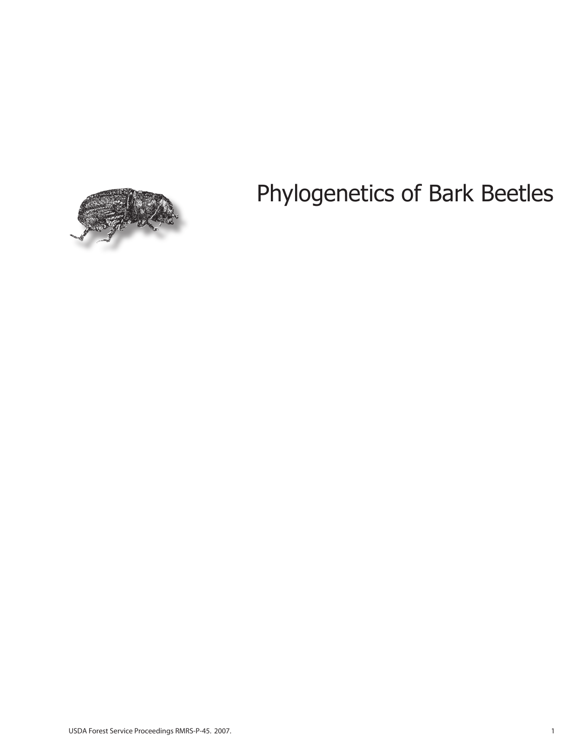# Phylogenetics of Bark Beetles

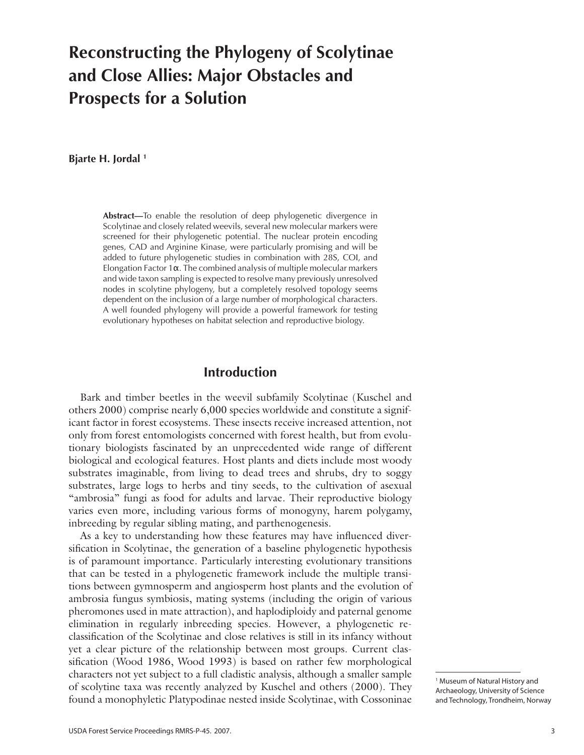## **Reconstructing the Phylogeny of Scolytinae and Close Allies: Major Obstacles and Prospects for a Solution**

**Bjarte H. Jordal 1**

**Abstract—**To enable the resolution of deep phylogenetic divergence in Scolytinae and closely related weevils, several new molecular markers were screened for their phylogenetic potential. The nuclear protein encoding genes, CAD and Arginine Kinase, were particularly promising and will be added to future phylogenetic studies in combination with 28S, COI, and Elongation Factor 1α. The combined analysis of multiple molecular markers and wide taxon sampling is expected to resolve many previously unresolved nodes in scolytine phylogeny, but a completely resolved topology seems dependent on the inclusion of a large number of morphological characters. A well founded phylogeny will provide a powerful framework for testing evolutionary hypotheses on habitat selection and reproductive biology.

### **Introduction**

Bark and timber beetles in the weevil subfamily Scolytinae (Kuschel and others 2000) comprise nearly 6,000 species worldwide and constitute a significant factor in forest ecosystems. These insects receive increased attention, not only from forest entomologists concerned with forest health, but from evolutionary biologists fascinated by an unprecedented wide range of different biological and ecological features. Host plants and diets include most woody substrates imaginable, from living to dead trees and shrubs, dry to soggy substrates, large logs to herbs and tiny seeds, to the cultivation of asexual "ambrosia" fungi as food for adults and larvae. Their reproductive biology varies even more, including various forms of monogyny, harem polygamy, inbreeding by regular sibling mating, and parthenogenesis.

As a key to understanding how these features may have influenced diversification in Scolytinae, the generation of a baseline phylogenetic hypothesis is of paramount importance. Particularly interesting evolutionary transitions that can be tested in a phylogenetic framework include the multiple transitions between gymnosperm and angiosperm host plants and the evolution of ambrosia fungus symbiosis, mating systems (including the origin of various pheromones used in mate attraction), and haplodiploidy and paternal genome elimination in regularly inbreeding species. However, a phylogenetic reclassification of the Scolytinae and close relatives is still in its infancy without yet a clear picture of the relationship between most groups. Current classification (Wood 1986, Wood 1993) is based on rather few morphological characters not yet subject to a full cladistic analysis, although a smaller sample of scolytine taxa was recently analyzed by Kuschel and others (2000). They found a monophyletic Platypodinae nested inside Scolytinae, with Cossoninae

<sup>1</sup> Museum of Natural History and Archaeology, University of Science and Technology, Trondheim, Norway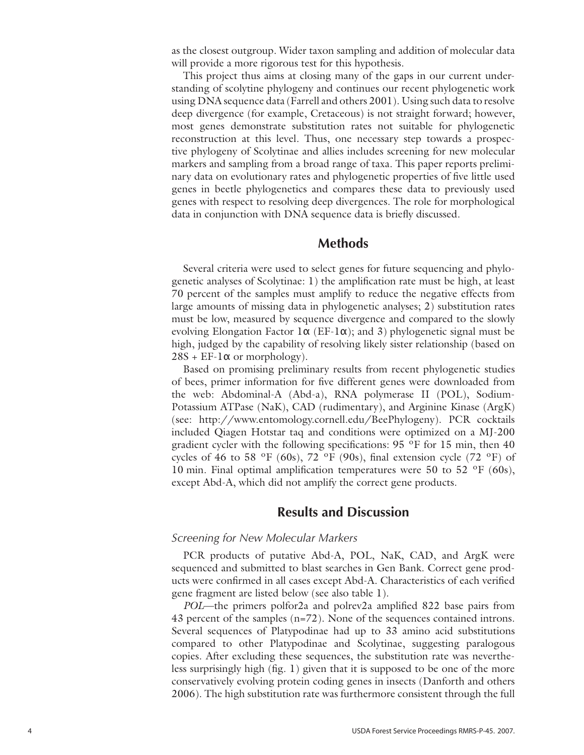as the closest outgroup. Wider taxon sampling and addition of molecular data will provide a more rigorous test for this hypothesis.

This project thus aims at closing many of the gaps in our current understanding of scolytine phylogeny and continues our recent phylogenetic work using DNA sequence data (Farrell and others 2001). Using such data to resolve deep divergence (for example, Cretaceous) is not straight forward; however, most genes demonstrate substitution rates not suitable for phylogenetic reconstruction at this level. Thus, one necessary step towards a prospective phylogeny of Scolytinae and allies includes screening for new molecular markers and sampling from a broad range of taxa. This paper reports preliminary data on evolutionary rates and phylogenetic properties of five little used genes in beetle phylogenetics and compares these data to previously used genes with respect to resolving deep divergences. The role for morphological data in conjunction with DNA sequence data is briefly discussed.

### **Methods**

Several criteria were used to select genes for future sequencing and phylogenetic analyses of Scolytinae: 1) the amplification rate must be high, at least 70 percent of the samples must amplify to reduce the negative effects from large amounts of missing data in phylogenetic analyses; 2) substitution rates must be low, measured by sequence divergence and compared to the slowly evolving Elongation Factor 1 $\alpha$  (EF-1 $\alpha$ ); and 3) phylogenetic signal must be high, judged by the capability of resolving likely sister relationship (based on  $28S + EF - l\alpha$  or morphology).

Based on promising preliminary results from recent phylogenetic studies of bees, primer information for five different genes were downloaded from the web: Abdominal-A (Abd-a), RNA polymerase II (POL), Sodium-Potassium ATPase (NaK), CAD (rudimentary), and Arginine Kinase (ArgK) (see: http://www.entomology.cornell.edu/BeePhylogeny). PCR cocktails included Qiagen Hotstar taq and conditions were optimized on a MJ-200 gradient cycler with the following specifications: 95 ºF for 15 min, then 40 cycles of 46 to 58 °F (60s), 72 °F (90s), final extension cycle (72 °F) of 10 min. Final optimal amplification temperatures were 50 to 52  $\mathrm{^{\circ}F}$  (60s), except Abd-A, which did not amplify the correct gene products.

### **Results and Discussion**

#### *Screening for New Molecular Markers*

PCR products of putative Abd-A, POL, NaK, CAD, and ArgK were sequenced and submitted to blast searches in Gen Bank. Correct gene products were confirmed in all cases except Abd-A. Characteristics of each verified gene fragment are listed below (see also table 1).

*POL*—the primers polfor2a and polrev2a amplified 822 base pairs from 43 percent of the samples (n=72). None of the sequences contained introns. Several sequences of Platypodinae had up to 33 amino acid substitutions compared to other Platypodinae and Scolytinae, suggesting paralogous copies. After excluding these sequences, the substitution rate was nevertheless surprisingly high (fig. 1) given that it is supposed to be one of the more conservatively evolving protein coding genes in insects (Danforth and others 2006). The high substitution rate was furthermore consistent through the full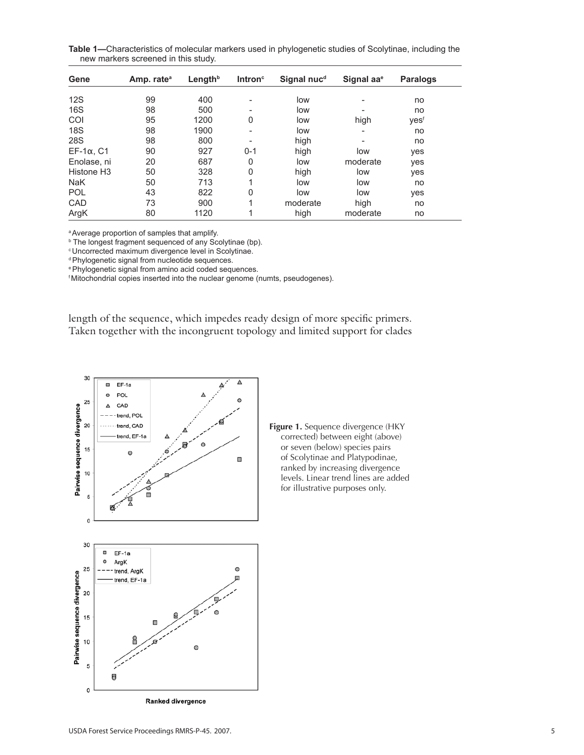**Table 1—**Characteristics of molecular markers used in phylogenetic studies of Scolytinae, including the new markers screened in this study.

| Gene                   | Amp. rate <sup>a</sup> | Length <sup>b</sup> | Intron $\circ$ | Signal nuc <sup>d</sup> | Signal aa <sup>e</sup> | <b>Paralogs</b> |  |
|------------------------|------------------------|---------------------|----------------|-------------------------|------------------------|-----------------|--|
| 12S                    | 99                     | 400                 |                | low                     |                        | no              |  |
| 16S                    | 98                     | 500                 |                | low                     |                        | no              |  |
| COI                    | 95                     | 1200                | 0              | low                     | high                   | yesf            |  |
| <b>18S</b>             | 98                     | 1900                | -              | low                     | ۰                      | no              |  |
| <b>28S</b>             | 98                     | 800                 |                | high                    | ۰                      | no              |  |
| $EF-1\alpha$ , C1      | 90                     | 927                 | $0 - 1$        | high                    | low                    | yes             |  |
| Enolase, ni            | 20                     | 687                 | 0              | low                     | moderate               | yes             |  |
| Histone H <sub>3</sub> | 50                     | 328                 | 0              | high                    | low                    | yes             |  |
| <b>NaK</b>             | 50                     | 713                 |                | low                     | low                    | no              |  |
| <b>POL</b>             | 43                     | 822                 | 0              | low                     | low                    | yes             |  |
| CAD                    | 73                     | 900                 |                | moderate                | high                   | no              |  |
| ArgK                   | 80                     | 1120                |                | high                    | moderate               | no              |  |

a Average proportion of samples that amplify.

<sup>b</sup> The longest fragment sequenced of any Scolytinae (bp).

c Uncorrected maximum divergence level in Scolytinae.

d Phylogenetic signal from nucleotide sequences.

e Phylogenetic signal from amino acid coded sequences.

f Mitochondrial copies inserted into the nuclear genome (numts, pseudogenes).

length of the sequence, which impedes ready design of more specific primers. Taken together with the incongruent topology and limited support for clades



**Figure 1.** Sequence divergence (HKY corrected) between eight (above) or seven (below) species pairs of Scolytinae and Platypodinae, ranked by increasing divergence levels. Linear trend lines are added for illustrative purposes only.

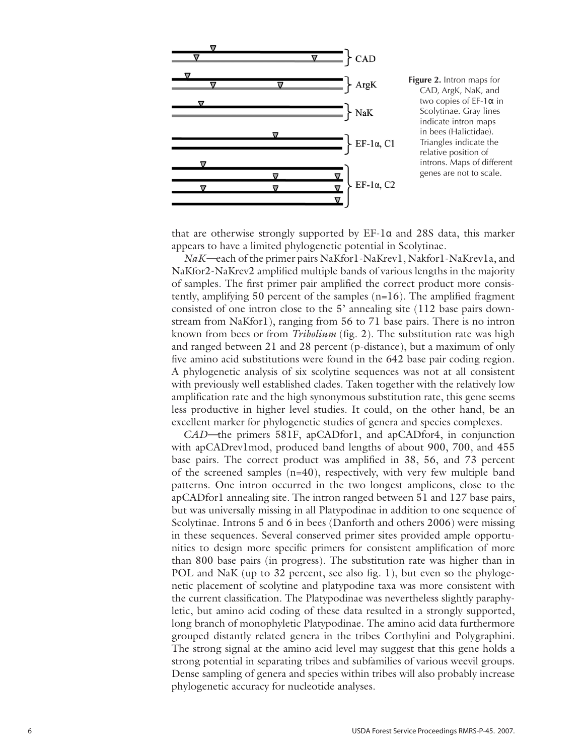

CAD, ArgK, NaK, and two copies of EF-1α in Scolytinae. Gray lines indicate intron maps in bees (Halictidae). Triangles indicate the relative position of introns. Maps of different genes are not to scale.

that are otherwise strongly supported by EF-1α and 28S data, this marker appears to have a limited phylogenetic potential in Scolytinae.

*NaK—*each of the primer pairs NaKfor1-NaKrev1, Nakfor1-NaKrev1a, and NaKfor2-NaKrev2 amplified multiple bands of various lengths in the majority of samples. The first primer pair amplified the correct product more consistently, amplifying 50 percent of the samples (n=16). The amplified fragment consisted of one intron close to the 5' annealing site (112 base pairs downstream from NaKfor1), ranging from 56 to 71 base pairs. There is no intron known from bees or from *Tribolium* (fig. 2). The substitution rate was high and ranged between 21 and 28 percent (p-distance), but a maximum of only five amino acid substitutions were found in the 642 base pair coding region. A phylogenetic analysis of six scolytine sequences was not at all consistent with previously well established clades. Taken together with the relatively low amplification rate and the high synonymous substitution rate, this gene seems less productive in higher level studies. It could, on the other hand, be an excellent marker for phylogenetic studies of genera and species complexes.

*CAD—*the primers 581F, apCADfor1, and apCADfor4, in conjunction with apCADrev1mod, produced band lengths of about 900, 700, and 455 base pairs. The correct product was amplified in 38, 56, and 73 percent of the screened samples (n=40), respectively, with very few multiple band patterns. One intron occurred in the two longest amplicons, close to the apCADfor1 annealing site. The intron ranged between 51 and 127 base pairs, but was universally missing in all Platypodinae in addition to one sequence of Scolytinae. Introns 5 and 6 in bees (Danforth and others 2006) were missing in these sequences. Several conserved primer sites provided ample opportunities to design more specific primers for consistent amplification of more than 800 base pairs (in progress). The substitution rate was higher than in POL and NaK (up to 32 percent, see also fig. 1), but even so the phylogenetic placement of scolytine and platypodine taxa was more consistent with the current classification. The Platypodinae was nevertheless slightly paraphyletic, but amino acid coding of these data resulted in a strongly supported, long branch of monophyletic Platypodinae. The amino acid data furthermore grouped distantly related genera in the tribes Corthylini and Polygraphini. The strong signal at the amino acid level may suggest that this gene holds a strong potential in separating tribes and subfamilies of various weevil groups. Dense sampling of genera and species within tribes will also probably increase phylogenetic accuracy for nucleotide analyses.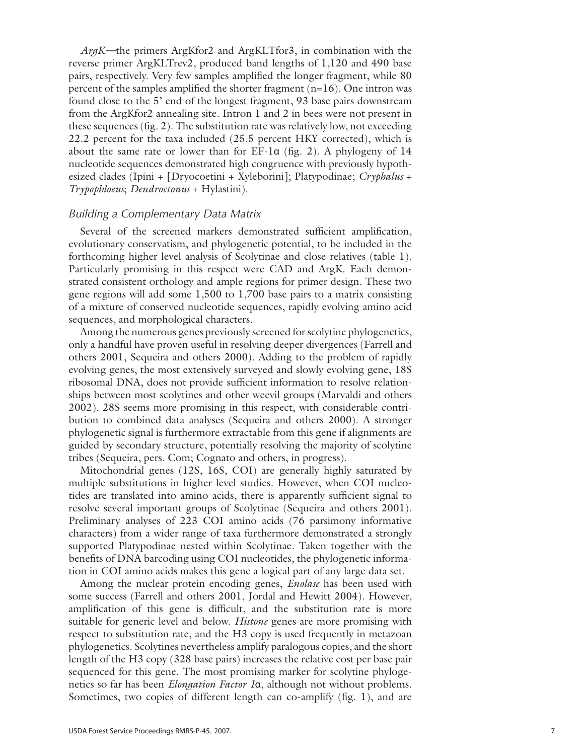*ArgK—*the primers ArgKfor2 and ArgKLTfor3, in combination with the reverse primer ArgKLTrev2, produced band lengths of 1,120 and 490 base pairs, respectively. Very few samples amplified the longer fragment, while 80 percent of the samples amplified the shorter fragment (n=16). One intron was found close to the 5' end of the longest fragment, 93 base pairs downstream from the ArgKfor2 annealing site. Intron 1 and 2 in bees were not present in these sequences (fig. 2). The substitution rate was relatively low, not exceeding 22.2 percent for the taxa included (25.5 percent HKY corrected), which is about the same rate or lower than for EF-1 α (fig. 2). A phylogeny of 14 nucleotide sequences demonstrated high congruence with previously hypoth esized clades (Ipini + [Dryocoetini + Xyleborini]; Platypodinae; *Cryphalus* + *Trypophloeus*; *Dendroctonus* + Hylastini).

#### *Building a Complementary Data Matrix*

Several of the screened markers demonstrated sufficient amplification, evolutionary conservatism, and phylogenetic potential, to be included in the forthcoming higher level analysis of Scolytinae and close relatives (table 1). Particularly promising in this respect were CAD and ArgK. Each demon strated consistent orthology and ample regions for primer design. These two gene regions will add some 1,500 to 1,700 base pairs to a matrix consisting of a mixture of conserved nucleotide sequences, rapidly evolving amino acid sequences, and morphological characters.

Among the numerous genes previously screened for scolytine phylogenetics, only a handful have proven useful in resolving deeper divergences (Farrell and others 2001, Sequeira and others 2000). Adding to the problem of rapidly evolving genes, the most extensively surveyed and slowly evolving gene, 18S ribosomal DNA, does not provide sufficient information to resolve relation ships between most scolytines and other weevil groups (Marvaldi and others 2002). 28S seems more promising in this respect, with considerable contri bution to combined data analyses (Sequeira and others 2000). A stronger phylogenetic signal is furthermore extractable from this gene if alignments are guided by secondary structure, potentially resolving the majority of scolytine tribes (Sequeira, pers. Com; Cognato and others, in progress).

Mitochondrial genes (12S, 16S, COI) are generally highly saturated by multiple substitutions in higher level studies. However, when COI nucleo tides are translated into amino acids, there is apparently sufficient signal to resolve several important groups of Scolytinae (Sequeira and others 2001). Preliminary analyses of 223 COI amino acids (76 parsimony informative characters) from a wider range of taxa furthermore demonstrated a strongly supported Platypodinae nested within Scolytinae. Taken together with the benefits of DNA barcoding using COI nucleotides, the phylogenetic informa tion in COI amino acids makes this gene a logical part of any large data set.

Among the nuclear protein encoding genes, *Enolase* has been used with some success (Farrell and others 2001, Jordal and Hewitt 2004). However, amplification of this gene is difficult, and the substitution rate is more suitable for generic level and below. *Histone* genes are more promising with respect to substitution rate, and the H3 copy is used frequently in metazoan phylogenetics. Scolytines nevertheless amplify paralogous copies, and the short length of the H3 copy (328 base pairs) increases the relative cost per base pair sequenced for this gene. The most promising marker for scolytine phylogenetics so far has been *Elongation Factor 1* α, although not without problems. Sometimes, two copies of different length can co-amplify (fig. 1), and are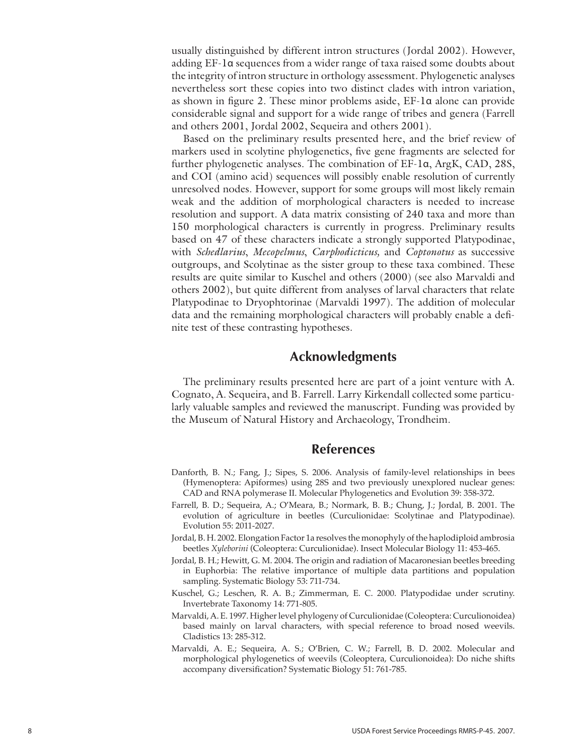usually distinguished by different intron structures (Jordal 2002). However, adding EF-1α sequences from a wider range of taxa raised some doubts about the integrity of intron structure in orthology assessment. Phylogenetic analyses nevertheless sort these copies into two distinct clades with intron variation, as shown in figure 2. These minor problems aside, EF-1α alone can provide considerable signal and support for a wide range of tribes and genera (Farrell and others 2001, Jordal 2002, Sequeira and others 2001).

Based on the preliminary results presented here, and the brief review of markers used in scolytine phylogenetics, five gene fragments are selected for further phylogenetic analyses. The combination of EF-1α, ArgK, CAD, 28S, and COI (amino acid) sequences will possibly enable resolution of currently unresolved nodes. However, support for some groups will most likely remain weak and the addition of morphological characters is needed to increase resolution and support. A data matrix consisting of 240 taxa and more than 150 morphological characters is currently in progress. Preliminary results based on 47 of these characters indicate a strongly supported Platypodinae, with *Schedlarius*, *Mecopelmus*, *Carphodicticus,* and *Coptonotus* as successive outgroups, and Scolytinae as the sister group to these taxa combined. These results are quite similar to Kuschel and others (2000) (see also Marvaldi and others 2002), but quite different from analyses of larval characters that relate Platypodinae to Dryophtorinae (Marvaldi 1997). The addition of molecular data and the remaining morphological characters will probably enable a definite test of these contrasting hypotheses.

### **Acknowledgments**

The preliminary results presented here are part of a joint venture with A. Cognato, A. Sequeira, and B. Farrell. Larry Kirkendall collected some particularly valuable samples and reviewed the manuscript. Funding was provided by the Museum of Natural History and Archaeology, Trondheim.

### **References**

- Danforth, B. N.; Fang, J.; Sipes, S. 2006. Analysis of family-level relationships in bees (Hymenoptera: Apiformes) using 28S and two previously unexplored nuclear genes: CAD and RNA polymerase II. Molecular Phylogenetics and Evolution 39: 358-372.
- Farrell, B. D.; Sequeira, A.; O'Meara, B.; Normark, B. B.; Chung, J.; Jordal, B. 2001. The evolution of agriculture in beetles (Curculionidae: Scolytinae and Platypodinae). Evolution 55: 2011-2027.
- Jordal, B. H. 2002. Elongation Factor 1a resolves the monophyly of the haplodiploid ambrosia beetles *Xyleborini* (Coleoptera: Curculionidae). Insect Molecular Biology 11: 453-465.
- Jordal, B. H.; Hewitt, G. M. 2004. The origin and radiation of Macaronesian beetles breeding in Euphorbia: The relative importance of multiple data partitions and population sampling. Systematic Biology 53: 711-734.
- Kuschel, G.; Leschen, R. A. B.; Zimmerman, E. C. 2000. Platypodidae under scrutiny. Invertebrate Taxonomy 14: 771-805.
- Marvaldi, A. E. 1997. Higher level phylogeny of Curculionidae (Coleoptera: Curculionoidea) based mainly on larval characters, with special reference to broad nosed weevils. Cladistics 13: 285-312.
- Marvaldi, A. E.; Sequeira, A. S.; O'Brien, C. W.; Farrell, B. D. 2002. Molecular and morphological phylogenetics of weevils (Coleoptera, Curculionoidea): Do niche shifts accompany diversification? Systematic Biology 51: 761-785.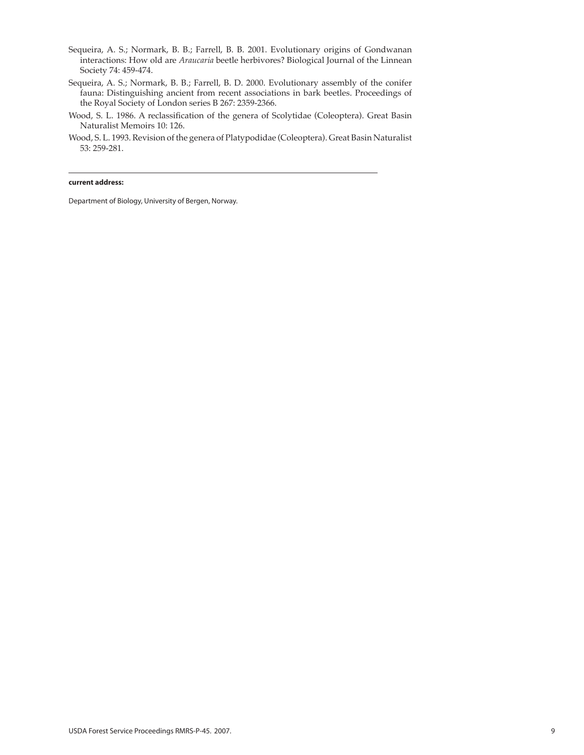- Sequeira, A. S.; Normark, B. B.; Farrell, B. B. 2001. Evolutionary origins of Gondwanan interactions: How old are *Araucaria* beetle herbivores? Biological Journal of the Linnean Society 74: 459-474.
- Sequeira, A. S.; Normark, B. B.; Farrell, B. D. 2000. Evolutionary assembly of the conifer fauna: Distinguishing ancient from recent associations in bark beetles. Proceedings of the Royal Society of London series B 267: 2359-2366.
- Wood, S. L. 1986. A reclassification of the genera of Scolytidae (Coleoptera). Great Basin Naturalist Memoirs 10: 126.
- Wood, S. L. 1993. Revision of the genera of Platypodidae (Coleoptera). Great Basin Naturalist 53: 259-281.

#### **current address:**

Department of Biology, University of Bergen, Norway.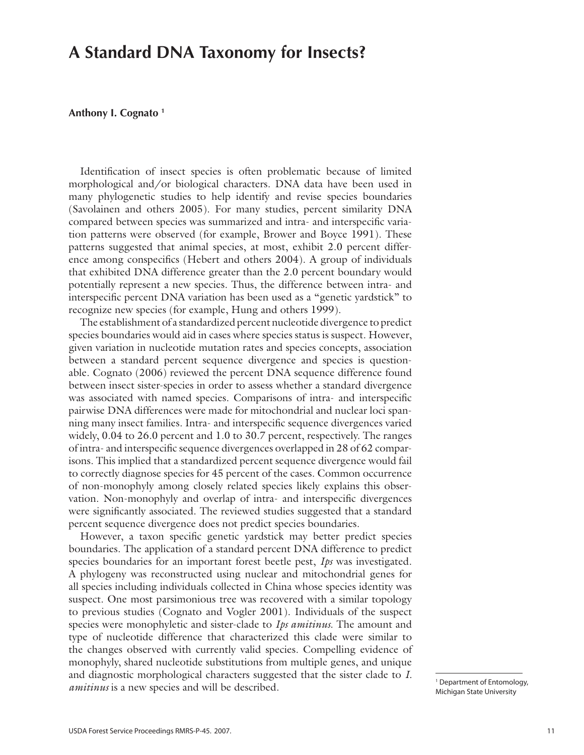## **A Standard DNA Taxonomy for Insects?**

### **Anthony I. Cognato 1**

Identification of insect species is often problematic because of limited morphological and/or biological characters. DNA data have been used in many phylogenetic studies to help identify and revise species boundaries (Savolainen and others 2005). For many studies, percent similarity DNA compared between species was summarized and intra- and interspecific variation patterns were observed (for example, Brower and Boyce 1991). These patterns suggested that animal species, at most, exhibit 2.0 percent difference among conspecifics (Hebert and others 2004). A group of individuals that exhibited DNA difference greater than the 2.0 percent boundary would potentially represent a new species. Thus, the difference between intra- and interspecific percent DNA variation has been used as a "genetic yardstick" to recognize new species (for example, Hung and others 1999).

The establishment of a standardized percent nucleotide divergence to predict species boundaries would aid in cases where species status is suspect. However, given variation in nucleotide mutation rates and species concepts, association between a standard percent sequence divergence and species is questionable. Cognato (2006) reviewed the percent DNA sequence difference found between insect sister-species in order to assess whether a standard divergence was associated with named species. Comparisons of intra- and interspecific pairwise DNA differences were made for mitochondrial and nuclear loci spanning many insect families. Intra- and interspecific sequence divergences varied widely, 0.04 to 26.0 percent and 1.0 to 30.7 percent, respectively. The ranges of intra- and interspecific sequence divergences overlapped in 28 of 62 comparisons. This implied that a standardized percent sequence divergence would fail to correctly diagnose species for 45 percent of the cases. Common occurrence of non-monophyly among closely related species likely explains this observation. Non-monophyly and overlap of intra- and interspecific divergences were significantly associated. The reviewed studies suggested that a standard percent sequence divergence does not predict species boundaries.

However, a taxon specific genetic yardstick may better predict species boundaries. The application of a standard percent DNA difference to predict species boundaries for an important forest beetle pest, *Ips* was investigated. A phylogeny was reconstructed using nuclear and mitochondrial genes for all species including individuals collected in China whose species identity was suspect. One most parsimonious tree was recovered with a similar topology to previous studies (Cognato and Vogler 2001). Individuals of the suspect species were monophyletic and sister-clade to *Ips amitinus*. The amount and type of nucleotide difference that characterized this clade were similar to the changes observed with currently valid species. Compelling evidence of monophyly, shared nucleotide substitutions from multiple genes, and unique and diagnostic morphological characters suggested that the sister clade to *I. amitinus* is a new species and will be described.

<sup>&</sup>lt;sup>1</sup> Department of Entomology, Michigan State University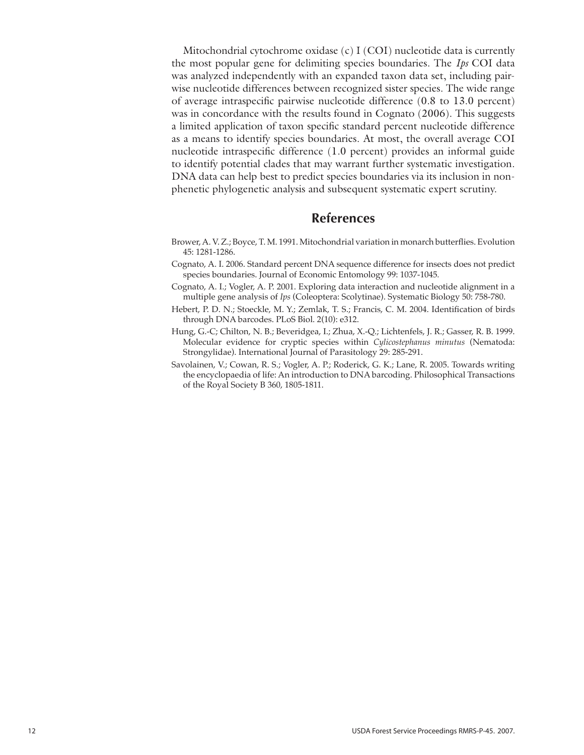Mitochondrial cytochrome oxidase  $(c)$  I  $(COI)$  nucleotide data is currently the most popular gene for delimiting species boundaries. The *Ips* COI data was analyzed independently with an expanded taxon data set, including pairwise nucleotide differences between recognized sister species. The wide range of average intraspecific pairwise nucleotide difference (0.8 to 13.0 percent) was in concordance with the results found in Cognato (2006). This suggests a limited application of taxon specific standard percent nucleotide difference as a means to identify species boundaries. At most, the overall average COI nucleotide intraspecific difference (1.0 percent) provides an informal guide to identify potential clades that may warrant further systematic investigation. DNA data can help best to predict species boundaries via its inclusion in nonphenetic phylogenetic analysis and subsequent systematic expert scrutiny.

### **References**

- Brower, A. V. Z.; Boyce, T. M. 1991. Mitochondrial variation in monarch butterflies. Evolution 45: 1281-1286.
- Cognato, A. I. 2006. Standard percent DNA sequence difference for insects does not predict species boundaries. Journal of Economic Entomology 99: 1037-1045*.*
- Cognato, A. I.; Vogler, A. P. 2001. Exploring data interaction and nucleotide alignment in a multiple gene analysis of *Ips* (Coleoptera: Scolytinae). Systematic Biology 50: 758-780.
- Hebert, P. D. N.; Stoeckle, M. Y.; Zemlak, T. S.; Francis, C. M. 2004. Identification of birds through DNA barcodes. PLoS Biol. 2(10): e312.
- Hung, G.-C; Chilton, N. B.; Beveridgea, I.; Zhua, X.-Q.; Lichtenfels, J. R.; Gasser, R. B. 1999. Molecular evidence for cryptic species within *Cylicostephanus minutus* (Nematoda: Strongylidae). International Journal of Parasitology 29: 285-291.
- Savolainen, V.; Cowan, R. S.; Vogler, A. P.; Roderick, G. K.; Lane, R. 2005. Towards writing the encyclopaedia of life: An introduction to DNA barcoding. Philosophical Transactions of the Royal Society B 360, 1805-1811.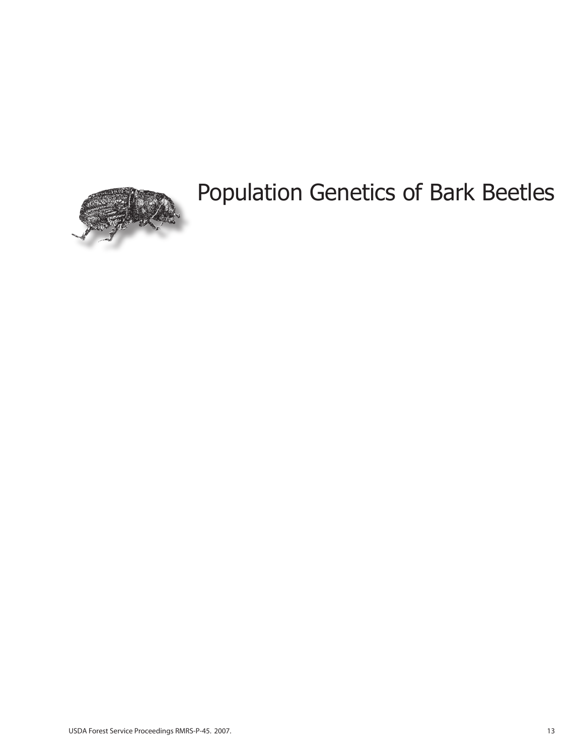

# Population Genetics of Bark Beetles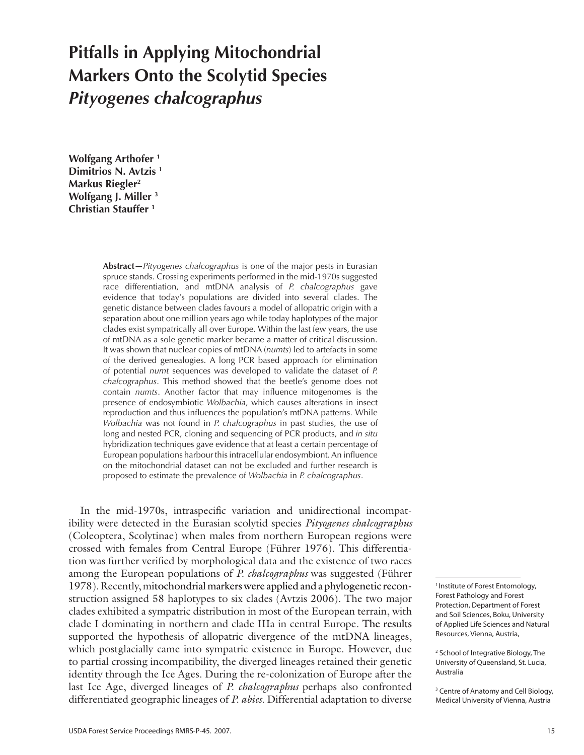# **Pitfalls in Applying Mitochondrial Markers Onto the Scolytid Species**  *Pityogenes chalcographus*

**Wolfgang Arthofer 1 Dimitrios N. Avtzis 1 Markus Riegler2 Wolfgang J. Miller 3 Christian Stauffer 1**

> **Abstract***—Pityogenes chalcographus* is one of the major pests in Eurasian spruce stands. Crossing experiments performed in the mid-1970s suggested race differentiation, and mtDNA analysis of *P. chalcographus* gave evidence that today's populations are divided into several clades. The genetic distance between clades favours a model of allopatric origin with a separation about one million years ago while today haplotypes of the major clades exist sympatrically all over Europe. Within the last few years, the use of mtDNA as a sole genetic marker became a matter of critical discussion. It was shown that nuclear copies of mtDNA (*numts*) led to artefacts in some of the derived genealogies. A long PCR based approach for elimination of potential *numt* sequences was developed to validate the dataset of *P. chalcographus*. This method showed that the beetle's genome does not contain *numts*. Another factor that may influence mitogenomes is the presence of endosymbiotic *Wolbachia*, which causes alterations in insect reproduction and thus influences the population's mtDNA patterns. While *Wolbachia* was not found in *P. chalcographus* in past studies, the use of long and nested PCR, cloning and sequencing of PCR products, and *in situ* hybridization techniques gave evidence that at least a certain percentage of European populations harbour this intracellular endosymbiont. An influence on the mitochondrial dataset can not be excluded and further research is proposed to estimate the prevalence of *Wolbachia* in *P. chalcographus*.

In the mid-1970s, intraspecific variation and unidirectional incompatibility were detected in the Eurasian scolytid species *Pityogenes chalcographus* (Coleoptera, Scolytinae) when males from northern European regions were crossed with females from Central Europe (Führer 1976). This differentiation was further verified by morphological data and the existence of two races among the European populations of *P. chalcographus* was suggested (Führer 1978). Recently, mitochondrial markers were applied and a phylogenetic reconstruction assigned 58 haplotypes to six clades (Avtzis 2006). The two major clades exhibited a sympatric distribution in most of the European terrain, with clade I dominating in northern and clade IIIa in central Europe. The results supported the hypothesis of allopatric divergence of the mtDNA lineages, which postglacially came into sympatric existence in Europe. However, due to partial crossing incompatibility, the diverged lineages retained their genetic identity through the Ice Ages. During the re-colonization of Europe after the last Ice Age, diverged lineages of *P. chalcographus* perhaps also confronted differentiated geographic lineages of *P. abies*. Differential adaptation to diverse

<sup>3</sup> Centre of Anatomy and Cell Biology, Medical University of Vienna, Austria

<sup>&</sup>lt;sup>1</sup> Institute of Forest Entomology, Forest Pathology and Forest Protection, Department of Forest and Soil Sciences, Boku, University of Applied Life Sciences and Natural Resources, Vienna, Austria,

<sup>2</sup> School of Integrative Biology, The University of Queensland, St. Lucia, Australia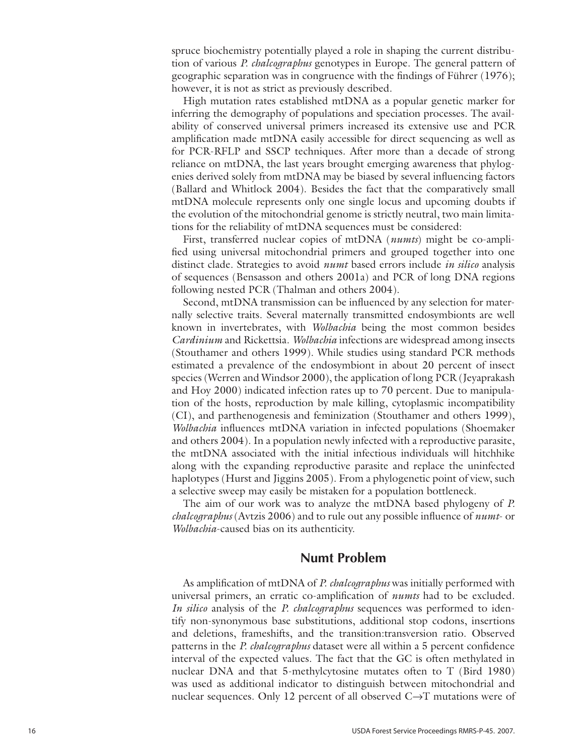spruce biochemistry potentially played a role in shaping the current distribu tion of various *P. chalcographus* genotypes in Europe. The general pattern of geographic separation was in congruence with the findings of Führer (1976); however, it is not as strict as previously described.

High mutation rates established mtDNA as a popular genetic marker for inferring the demography of populations and speciation processes. The avail ability of conserved universal primers increased its extensive use and PCR amplification made mtDNA easily accessible for direct sequencing as well as for PCR-RFLP and SSCP techniques. After more than a decade of strong reliance on mtDNA, the last years brought emerging awareness that phylogenies derived solely from mtDNA may be biased by several influencing factors (Ballard and Whitlock 2004). Besides the fact that the comparatively small mtDNA molecule represents only one single locus and upcoming doubts if the evolution of the mitochondrial genome is strictly neutral, two main limita tions for the reliability of mtDNA sequences must be considered:

First, transferred nuclear copies of mtDNA (*numts*) might be co-ampli fied using universal mitochondrial primers and grouped together into one distinct clade. Strategies to avoid *numt* based errors include *in silico* analysis of sequences (Bensasson and others 2001a) and PCR of long DNA regions following nested PCR (Thalman and others 2004).

Second, mtDNA transmission can be influenced by any selection for mater nally selective traits. Several maternally transmitted endosymbionts are well known in invertebrates, with *Wolbachia* being the most common besides *Cardinium* and Rickettsia. *Wolbachia* infections are widespread among insects (Stouthamer and others 1999). While studies using standard PCR methods estimated a prevalence of the endosymbiont in about 20 percent of insect species (Werren and Windsor 2000), the application of long PCR (Jeyaprakash and Hoy 2000) indicated infection rates up to 70 percent. Due to manipula tion of the hosts, reproduction by male killing, cytoplasmic incompatibility (CI), and parthenogenesis and feminization (Stouthamer and others 1999), *Wolbachia* influences mtDNA variation in infected populations (Shoemaker and others 2004). In a population newly infected with a reproductive parasite, the mtDNA associated with the initial infectious individuals will hitchhike along with the expanding reproductive parasite and replace the uninfected haplotypes (Hurst and Jiggins 2005). From a phylogenetic point of view, such a selective sweep may easily be mistaken for a population bottleneck.

The aim of our work was to analyze the mtDNA based phylogeny of *P. chalcographus* (Avtzis 2006) and to rule out any possible influence of *numt*- or *Wolbachia*-caused bias on its authenticity.

### **Numt Problem**

As amplification of mtDNA of *P. chalcographus* was initially performed with universal primers, an erratic co-amplification of *numts* had to be excluded. *In silico* analysis of the *P. chalcographus* sequences was performed to iden tify non-synonymous base substitutions, additional stop codons, insertions and deletions, frameshifts, and the transition:transversion ratio. Observed patterns in the *P. chalcographus* dataset were all within a 5 percent confidence interval of the expected values. The fact that the GC is often methylated in nuclear DNA and that 5-methylcytosine mutates often to T (Bird 1980) was used as additional indicator to distinguish between mitochondrial and nuclear sequences. Only 12 percent of all observed  $C \rightarrow T$  mutations were of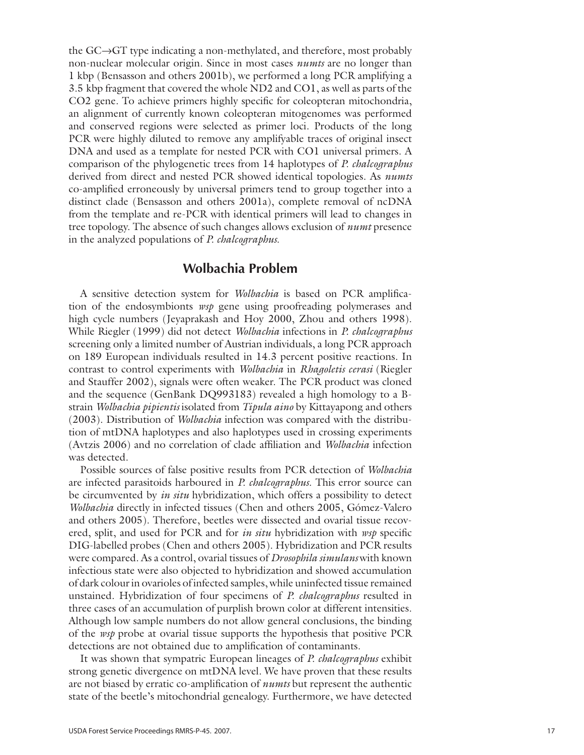the GC →GT type indicating a non-methylated, and therefore, most probably non-nuclear molecular origin. Since in most cases *numts* are no longer than 1 kbp (Bensasson and others 2001b), we performed a long PCR amplifying a 3.5 kbp fragment that covered the whole ND2 and CO1, as well as parts of the CO2 gene. To achieve primers highly specific for coleopteran mitochondria, an alignment of currently known coleopteran mitogenomes was performed and conserved regions were selected as primer loci. Products of the long PCR were highly diluted to remove any amplifyable traces of original insect DNA and used as a template for nested PCR with CO1 universal primers. A comparison of the phylogenetic trees from 14 haplotypes of *P. chalcographus* derived from direct and nested PCR showed identical topologies. As *numts* co-amplified erroneously by universal primers tend to group together into a distinct clade (Bensasson and others 2001a), complete removal of ncDNA from the template and re-PCR with identical primers will lead to changes in tree topology. The absence of such changes allows exclusion of *numt* presence in the analyzed populations of *P. chalcographus* .

### **Wolbachia Problem**

A sensitive detection system for *Wolbachia* is based on PCR amplifica tion of the endosymbionts *wsp* gene using proofreading polymerases and high cycle numbers (Jeyaprakash and Hoy 2000, Zhou and others 1998). While Riegler (1999) did not detect *Wolbachia* infections in *P. chalcographus* screening only a limited number of Austrian individuals, a long PCR approach on 189 European individuals resulted in 14.3 percent positive reactions. In contrast to control experiments with *Wolbachia* in *Rhagoletis cerasi* (Riegler and Stauffer 2002), signals were often weaker. The PCR product was cloned and the sequence (GenBank DQ993183) revealed a high homology to a Bstrain *Wolbachia pipientis* isolated from *Tipula aino* by Kittayapong and others (2003). Distribution of *Wolbachia* infection was compared with the distribu tion of mtDNA haplotypes and also haplotypes used in crossing experiments (Avtzis 2006) and no correlation of clade affiliation and *Wolbachia* infection was detected.

Possible sources of false positive results from PCR detection of *Wolbachia* are infected parasitoids harboured in *P. chalcographus*. This error source can be circumvented by *in situ* hybridization, which offers a possibility to detect *Wolbachia* directly in infected tissues (Chen and others 2005, Gómez-Valero and others 2005). Therefore, beetles were dissected and ovarial tissue recov ered, split, and used for PCR and for *in situ* hybridization with *wsp* specific DIG-labelled probes (Chen and others 2005). Hybridization and PCR results were compared. As a control, ovarial tissues of *Drosophila simulans* with known infectious state were also objected to hybridization and showed accumulation of dark colour in ovarioles of infected samples, while uninfected tissue remained unstained. Hybridization of four specimens of *P. chalcographus* resulted in three cases of an accumulation of purplish brown color at different intensities. Although low sample numbers do not allow general conclusions, the binding of the *wsp* probe at ovarial tissue supports the hypothesis that positive PCR detections are not obtained due to amplification of contaminants.

It was shown that sympatric European lineages of *P. chalcographus* exhibit strong genetic divergence on mtDNA level. We have proven that these results are not biased by erratic co-amplification of *numts* but represent the authentic state of the beetle's mitochondrial genealogy. Furthermore, we have detected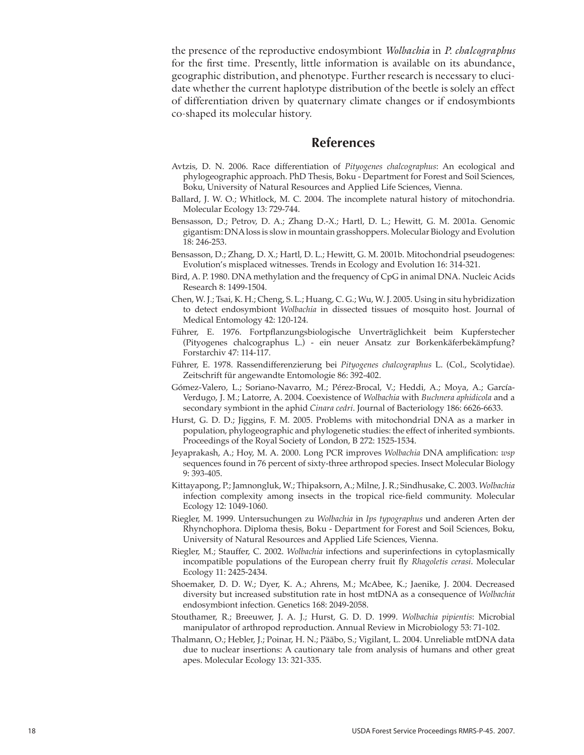the presence of the reproductive endosymbiont *Wolbachia* in *P. chalcographus*  for the first time. Presently, little information is available on its abundance, geographic distribution, and phenotype. Further research is necessary to elucidate whether the current haplotype distribution of the beetle is solely an effect of differentiation driven by quaternary climate changes or if endosymbionts co-shaped its molecular history.

### **References**

- Avtzis, D. N. 2006. Race differentiation of *Pityogenes chalcographus*: An ecological and phylogeographic approach. PhD Thesis, Boku - Department for Forest and Soil Sciences, Boku, University of Natural Resources and Applied Life Sciences, Vienna.
- Ballard, J. W. O.; Whitlock, M. C. 2004. The incomplete natural history of mitochondria. Molecular Ecology 13: 729-744.
- Bensasson, D.; Petrov, D. A.; Zhang D.-X.; Hartl, D. L.; Hewitt, G. M. 2001a. Genomic gigantism: DNA loss is slow in mountain grasshoppers. Molecular Biology and Evolution 18: 246-253.
- Bensasson, D.; Zhang, D. X.; Hartl, D. L.; Hewitt, G. M. 2001b. Mitochondrial pseudogenes: Evolution's misplaced witnesses. Trends in Ecology and Evolution 16: 314-321.
- Bird, A. P. 1980. DNA methylation and the frequency of CpG in animal DNA. Nucleic Acids Research 8: 1499-1504.
- Chen, W. J.; Tsai, K. H.; Cheng, S. L.; Huang, C. G.; Wu, W. J. 2005. Using in situ hybridization to detect endosymbiont *Wolbachia* in dissected tissues of mosquito host. Journal of Medical Entomology 42: 120-124.
- Führer, E. 1976. Fortpflanzungsbiologische Unverträglichkeit beim Kupferstecher (Pityogenes chalcographus L.) - ein neuer Ansatz zur Borkenkäferbekämpfung? Forstarchiv 47: 114-117.
- Führer, E. 1978. Rassendifferenzierung bei *Pityogenes chalcographus* L. (Col., Scolytidae). Zeitschrift für angewandte Entomologie 86: 392-402.
- Gómez-Valero, L.; Soriano-Navarro, M.; Pérez-Brocal, V.; Heddi, A.; Moya, A.; García-Verdugo, J. M.; Latorre, A. 2004. Coexistence of *Wolbachia* with *Buchnera aphidicola* and a secondary symbiont in the aphid *Cinara cedri*. Journal of Bacteriology 186: 6626-6633.
- Hurst, G. D. D.; Jiggins, F. M. 2005. Problems with mitochondrial DNA as a marker in population, phylogeographic and phylogenetic studies: the effect of inherited symbionts. Proceedings of the Royal Society of London, B 272: 1525-1534.
- Jeyaprakash, A.; Hoy, M. A. 2000. Long PCR improves *Wolbachia* DNA amplification: *wsp* sequences found in 76 percent of sixty-three arthropod species. Insect Molecular Biology 9: 393-405.
- Kittayapong, P.; Jamnongluk, W.; Thipaksorn, A.; Milne, J. R.; Sindhusake, C. 2003. *Wolbachia* infection complexity among insects in the tropical rice-field community. Molecular Ecology 12: 1049-1060.
- Riegler, M. 1999. Untersuchungen zu *Wolbachia* in *Ips typographus* und anderen Arten der Rhynchophora. Diploma thesis, Boku - Department for Forest and Soil Sciences, Boku, University of Natural Resources and Applied Life Sciences, Vienna.
- Riegler, M.; Stauffer, C. 2002. *Wolbachia* infections and superinfections in cytoplasmically incompatible populations of the European cherry fruit fly *Rhagoletis cerasi*. Molecular Ecology 11: 2425-2434.
- Shoemaker, D. D. W.; Dyer, K. A.; Ahrens, M.; McAbee, K.; Jaenike, J. 2004. Decreased diversity but increased substitution rate in host mtDNA as a consequence of *Wolbachia* endosymbiont infection. Genetics 168: 2049-2058.
- Stouthamer, R.; Breeuwer, J. A. J.; Hurst, G. D. D. 1999. *Wolbachia pipientis*: Microbial manipulator of arthropod reproduction. Annual Review in Microbiology 53: 71-102.
- Thalmann, O.; Hebler, J.; Poinar, H. N.; Pääbo, S.; Vigilant, L. 2004. Unreliable mtDNA data due to nuclear insertions: A cautionary tale from analysis of humans and other great apes. Molecular Ecology 13: 321-335.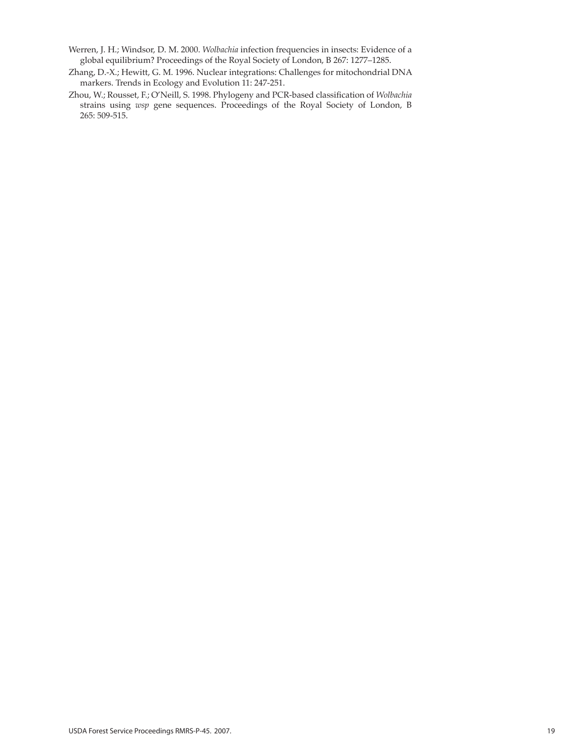- Werren, J. H.; Windsor, D. M. 2000. *Wolbachia* infection frequencies in insects: Evidence of a global equilibrium? Proceedings of the Royal Society of London, B 267: 1277–1285.
- Zhang, D.-X.; Hewitt, G. M. 1996. Nuclear integrations: Challenges for mitochondrial DNA markers. Trends in Ecology and Evolution 11: 247-251.
- Zhou, W.; Rousset, F.; O'Neill, S. 1998. Phylogeny and PCR-based classification of *Wolbachia* strains using *wsp* gene sequences. Proceedings of the Royal Society of London, B 265: 509-515.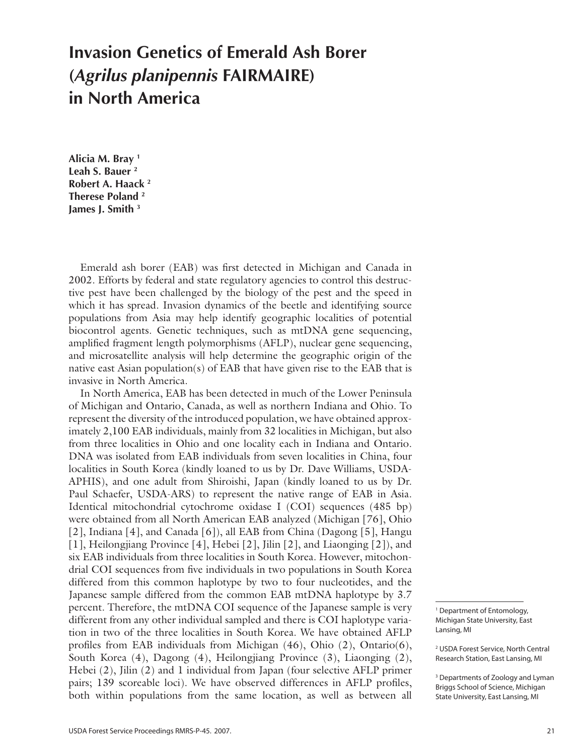# **Invasion Genetics of Emerald Ash Borer (***Agrilus planipennis* **FAIRMAIRE) in North America**

**Alicia M. Bray 1 Leah S. Bauer 2 Robert A. Haack 2 Therese Poland 2 James J. Smith 3**

Emerald ash borer (EAB) was first detected in Michigan and Canada in 2002. Efforts by federal and state regulatory agencies to control this destructive pest have been challenged by the biology of the pest and the speed in which it has spread. Invasion dynamics of the beetle and identifying source populations from Asia may help identify geographic localities of potential biocontrol agents. Genetic techniques, such as mtDNA gene sequencing, amplified fragment length polymorphisms (AFLP), nuclear gene sequencing, and microsatellite analysis will help determine the geographic origin of the native east Asian population(s) of EAB that have given rise to the EAB that is invasive in North America.

In North America, EAB has been detected in much of the Lower Peninsula of Michigan and Ontario, Canada, as well as northern Indiana and Ohio. To represent the diversity of the introduced population, we have obtained approximately 2,100 EAB individuals, mainly from 32 localities in Michigan, but also from three localities in Ohio and one locality each in Indiana and Ontario. DNA was isolated from EAB individuals from seven localities in China, four localities in South Korea (kindly loaned to us by Dr. Dave Williams, USDA-APHIS), and one adult from Shiroishi, Japan (kindly loaned to us by Dr. Paul Schaefer, USDA-ARS) to represent the native range of EAB in Asia. Identical mitochondrial cytochrome oxidase I (COI) sequences (485 bp) were obtained from all North American EAB analyzed (Michigan [76], Ohio [2], Indiana [4], and Canada [6]), all EAB from China (Dagong [5], Hangu [1], Heilongjiang Province [4], Hebei [2], Jilin [2], and Liaonging [2]), and six EAB individuals from three localities in South Korea. However, mitochondrial COI sequences from five individuals in two populations in South Korea differed from this common haplotype by two to four nucleotides, and the Japanese sample differed from the common EAB mtDNA haplotype by 3.7 percent. Therefore, the mtDNA COI sequence of the Japanese sample is very different from any other individual sampled and there is COI haplotype variation in two of the three localities in South Korea. We have obtained AFLP profiles from EAB individuals from Michigan (46), Ohio (2), Ontario(6), South Korea (4), Dagong (4), Heilongjiang Province (3), Liaonging (2), Hebei (2), Jilin (2) and 1 individual from Japan (four selective AFLP primer pairs; 139 scoreable loci). We have observed differences in AFLP profiles, both within populations from the same location, as well as between all

<sup>1</sup> Department of Entomology, Michigan State University, East Lansing, MI

<sup>2</sup> USDA Forest Service, North Central Research Station, East Lansing, MI

<sup>&</sup>lt;sup>3</sup> Departments of Zoology and Lyman Briggs School of Science, Michigan State University, East Lansing, MI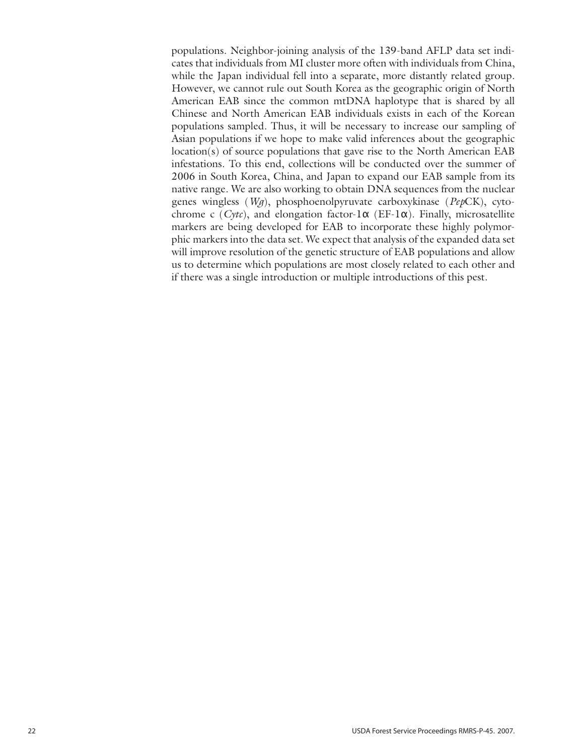populations. Neighbor-joining analysis of the 139-band AFLP data set indicates that individuals from MI cluster more often with individuals from China, while the Japan individual fell into a separate, more distantly related group. However, we cannot rule out South Korea as the geographic origin of North American EAB since the common mtDNA haplotype that is shared by all Chinese and North American EAB individuals exists in each of the Korean populations sampled. Thus, it will be necessary to increase our sampling of Asian populations if we hope to make valid inferences about the geographic location(s) of source populations that gave rise to the North American EAB infestations. To this end, collections will be conducted over the summer of 2006 in South Korea, China, and Japan to expand our EAB sample from its native range. We are also working to obtain DNA sequences from the nuclear genes wingless (*Wg*), phosphoenolpyruvate carboxykinase (*Pep*CK), cytochrome c (*Cytc*), and elongation factor-1α (EF-1α). Finally, microsatellite markers are being developed for EAB to incorporate these highly polymorphic markers into the data set. We expect that analysis of the expanded data set will improve resolution of the genetic structure of EAB populations and allow us to determine which populations are most closely related to each other and if there was a single introduction or multiple introductions of this pest.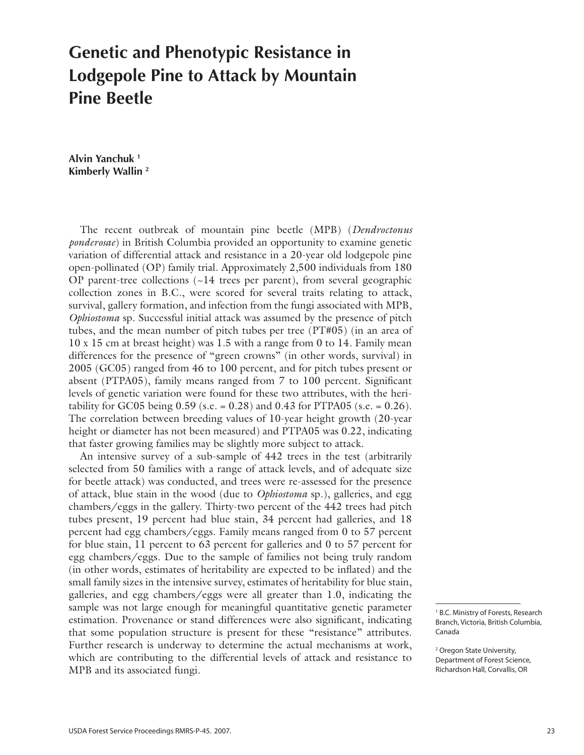# **Genetic and Phenotypic Resistance in Lodgepole Pine to Attack by Mountain Pine Beetle**

**Alvin Yanchuk 1 Kimberly Wallin 2**

The recent outbreak of mountain pine beetle (MPB) (*Dendroctonus ponderosae*) in British Columbia provided an opportunity to examine genetic variation of differential attack and resistance in a 20-year old lodgepole pine open-pollinated (OP) family trial. Approximately 2,500 individuals from 180 OP parent-tree collections  $(\sim 14$  trees per parent), from several geographic collection zones in B.C., were scored for several traits relating to attack, survival, gallery formation, and infection from the fungi associated with MPB, *Ophiostoma* sp. Successful initial attack was assumed by the presence of pitch tubes, and the mean number of pitch tubes per tree (PT#05) (in an area of 10 x 15 cm at breast height) was 1.5 with a range from 0 to 14. Family mean differences for the presence of "green crowns" (in other words, survival) in 2005 (GC05) ranged from 46 to 100 percent, and for pitch tubes present or absent (PTPA05), family means ranged from 7 to 100 percent. Significant levels of genetic variation were found for these two attributes, with the heritability for GC05 being  $0.59$  (s.e. = 0.28) and 0.43 for PTPA05 (s.e. = 0.26). The correlation between breeding values of 10-year height growth (20-year height or diameter has not been measured) and PTPA05 was 0.22, indicating that faster growing families may be slightly more subject to attack.

An intensive survey of a sub-sample of 442 trees in the test (arbitrarily selected from 50 families with a range of attack levels, and of adequate size for beetle attack) was conducted, and trees were re-assessed for the presence of attack, blue stain in the wood (due to *Ophiostoma* sp.), galleries, and egg chambers/eggs in the gallery. Thirty-two percent of the 442 trees had pitch tubes present, 19 percent had blue stain, 34 percent had galleries, and 18 percent had egg chambers/eggs. Family means ranged from 0 to 57 percent for blue stain, 11 percent to 63 percent for galleries and 0 to 57 percent for egg chambers/eggs. Due to the sample of families not being truly random (in other words, estimates of heritability are expected to be inflated) and the small family sizes in the intensive survey, estimates of heritability for blue stain, galleries, and egg chambers/eggs were all greater than 1.0, indicating the sample was not large enough for meaningful quantitative genetic parameter estimation. Provenance or stand differences were also significant, indicating that some population structure is present for these "resistance" attributes. Further research is underway to determine the actual mechanisms at work, which are contributing to the differential levels of attack and resistance to MPB and its associated fungi.

<sup>&</sup>lt;sup>1</sup> B.C. Ministry of Forests, Research Branch, Victoria, British Columbia, Canada

<sup>&</sup>lt;sup>2</sup> Oregon State University, Department of Forest Science, Richardson Hall, Corvallis, OR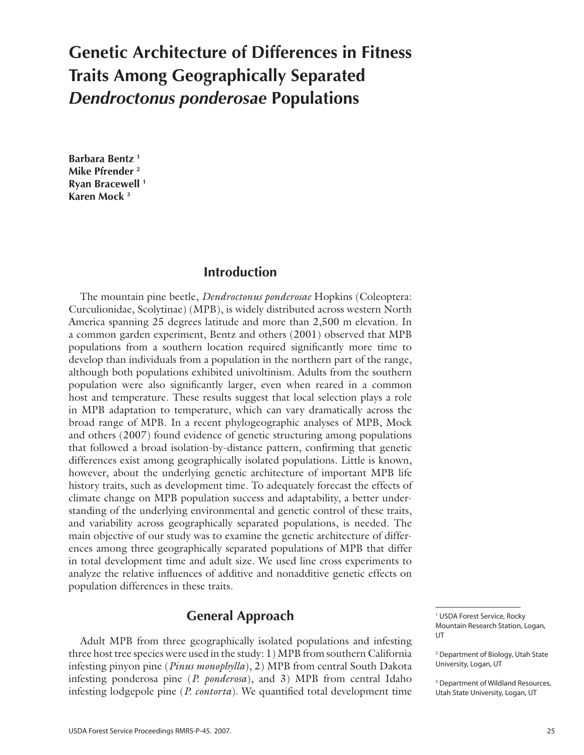# **Genetic Architecture of Differences in Fitness Traits Among Geographically Separated**  *Dendroctonus ponderosae* **Populations**

**Barbara Bentz 1 Mike Pfrender 2 Ryan Bracewell 1 Karen Mock 3**

### **Introduction**

The mountain pine beetle, *Dendroctonus ponderosae* Hopkins (Coleoptera: Curculionidae, Scolytinae) (MPB), is widely distributed across western North America spanning 25 degrees latitude and more than 2,500 m elevation. In a common garden experiment, Bentz and others (2001) observed that MPB populations from a southern location required significantly more time to develop than individuals from a population in the northern part of the range, although both populations exhibited univoltinism. Adults from the southern population were also significantly larger, even when reared in a common host and temperature. These results suggest that local selection plays a role in MPB adaptation to temperature, which can vary dramatically across the broad range of MPB. In a recent phylogeographic analyses of MPB, Mock and others (2007) found evidence of genetic structuring among populations that followed a broad isolation-by-distance pattern, confirming that genetic differences exist among geographically isolated populations. Little is known, however, about the underlying genetic architecture of important MPB life history traits, such as development time. To adequately forecast the effects of climate change on MPB population success and adaptability, a better understanding of the underlying environmental and genetic control of these traits, and variability across geographically separated populations, is needed. The main objective of our study was to examine the genetic architecture of differences among three geographically separated populations of MPB that differ in total development time and adult size. We used line cross experiments to analyze the relative influences of additive and nonadditive genetic effects on population differences in these traits.

### **General Approach**

Adult MPB from three geographically isolated populations and infesting three host tree species were used in the study: 1) MPB from southern California infesting pinyon pine (*Pinus monophylla*), 2) MPB from central South Dakota infesting ponderosa pine (*P. ponderosa*), and 3) MPB from central Idaho infesting lodgepole pine (*P. contorta*). We quantified total development time

<sup>1</sup> USDA Forest Service, Rocky Mountain Research Station, Logan, **UT** 

<sup>2</sup> Department of Biology, Utah State University, Logan, UT

<sup>3</sup> Department of Wildland Resources, Utah State University, Logan, UT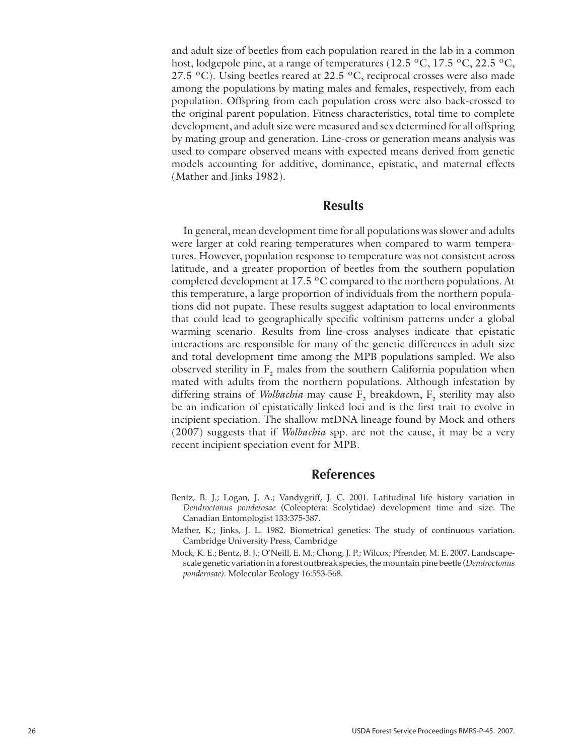and adult size of beetles from each population reared in the lab in a common host, lodgepole pine, at a range of temperatures (12.5 °C, 17.5 °C, 22.5 °C, 27.5 °C). Using beetles reared at 22.5 °C, reciprocal crosses were also made among the populations by mating males and females, respectively, from each population. Offspring from each population cross were also back-crossed to the original parent population. Fitness characteristics, total time to complete development, and adult size were measured and sex determined for all offspring by mating group and generation. Line-cross or generation means analysis was used to compare observed means with expected means derived from genetic models accounting for additive, dominance, epistatic, and maternal effects (Mather and Jinks 1982).

### **Results**

In general, mean development time for all populations was slower and adults were larger at cold rearing temperatures when compared to warm temperatures. However, population response to temperature was not consistent across latitude, and a greater proportion of beetles from the southern population completed development at 17.5 ºC compared to the northern populations. At this temperature, a large proportion of individuals from the northern populations did not pupate. These results suggest adaptation to local environments that could lead to geographically specific voltinism patterns under a global warming scenario. Results from line-cross analyses indicate that epistatic interactions are responsible for many of the genetic differences in adult size and total development time among the MPB populations sampled. We also observed sterility in  $F_2$  males from the southern California population when mated with adults from the northern populations. Although infestation by differing strains of *Wolbachia* may cause  $F_2$  breakdown,  $F_2$  sterility may also be an indication of epistatically linked loci and is the first trait to evolve in incipient speciation. The shallow mtDNA lineage found by Mock and others (2007) suggests that if *Wolbachia* spp*.* are not the cause, it may be a very recent incipient speciation event for MPB.

### **References**

- Bentz, B. J.; Logan, J. A.; Vandygriff, J. C. 2001. Latitudinal life history variation in *Dendroctonus ponderosae* (Coleoptera: Scolytidae) development time and size. The Canadian Entomologist 133:375-387.
- Mather, K.; Jinks, J. L. 1982. Biometrical genetics: The study of continuous variation. Cambridge University Press, Cambridge
- Mock, K. E.; Bentz, B. J.; O'Neill, E. M.; Chong, J. P.; Wilcox; Pfrender, M. E. 2007. Landscapescale genetic variation in a forest outbreak species, the mountain pine beetle (*Dendroctonus ponderosae)*. Molecular Ecology 16:553-568.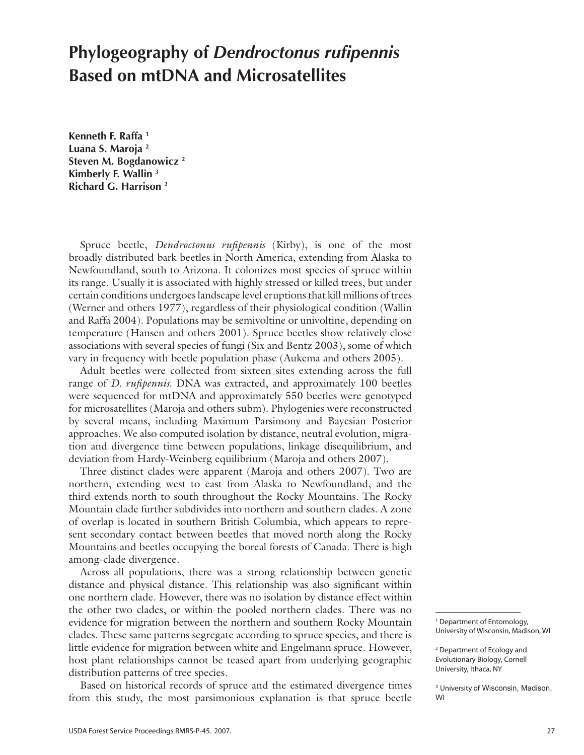## **Phylogeography of** *Dendroctonus rufipennis* **Based on mtDNA and Microsatellites**

**Kenneth F. Raffa 1 Luana S. Maroja 2 Steven M. Bogdanowicz 2 Kimberly F. Wallin 3 Richard G. Harrison 2**

Spruce beetle, *Dendroctonus rufipennis* (Kirby), is one of the most broadly distributed bark beetles in North America, extending from Alaska to Newfoundland, south to Arizona. It colonizes most species of spruce within its range. Usually it is associated with highly stressed or killed trees, but under certain conditions undergoes landscape level eruptions that kill millions of trees (Werner and others 1977), regardless of their physiological condition (Wallin and Raffa 2004). Populations may be semivoltine or univoltine, depending on temperature (Hansen and others 2001). Spruce beetles show relatively close associations with several species of fungi (Six and Bentz 2003), some of which vary in frequency with beetle population phase (Aukema and others 2005).

Adult beetles were collected from sixteen sites extending across the full range of *D. rufipennis*. DNA was extracted, and approximately 100 beetles were sequenced for mtDNA and approximately 550 beetles were genotyped for microsatellites (Maroja and others subm). Phylogenies were reconstructed by several means, including Maximum Parsimony and Bayesian Posterior approaches. We also computed isolation by distance, neutral evolution, migration and divergence time between populations, linkage disequilibrium, and deviation from Hardy-Weinberg equilibrium (Maroja and others 2007).

Three distinct clades were apparent (Maroja and others 2007). Two are northern, extending west to east from Alaska to Newfoundland, and the third extends north to south throughout the Rocky Mountains. The Rocky Mountain clade further subdivides into northern and southern clades. A zone of overlap is located in southern British Columbia, which appears to represent secondary contact between beetles that moved north along the Rocky Mountains and beetles occupying the boreal forests of Canada. There is high among-clade divergence.

Across all populations, there was a strong relationship between genetic distance and physical distance. This relationship was also significant within one northern clade. However, there was no isolation by distance effect within the other two clades, or within the pooled northern clades. There was no evidence for migration between the northern and southern Rocky Mountain clades. These same patterns segregate according to spruce species, and there is little evidence for migration between white and Engelmann spruce. However, host plant relationships cannot be teased apart from underlying geographic distribution patterns of tree species.

Based on historical records of spruce and the estimated divergence times from this study, the most parsimonious explanation is that spruce beetle

1 Department of Entomology, University of Wisconsin, Madison, WI

2 Department of Ecology and Evolutionary Biology, Cornell University, Ithaca, NY

<sup>3</sup> University of Wisconsin, Madison, WI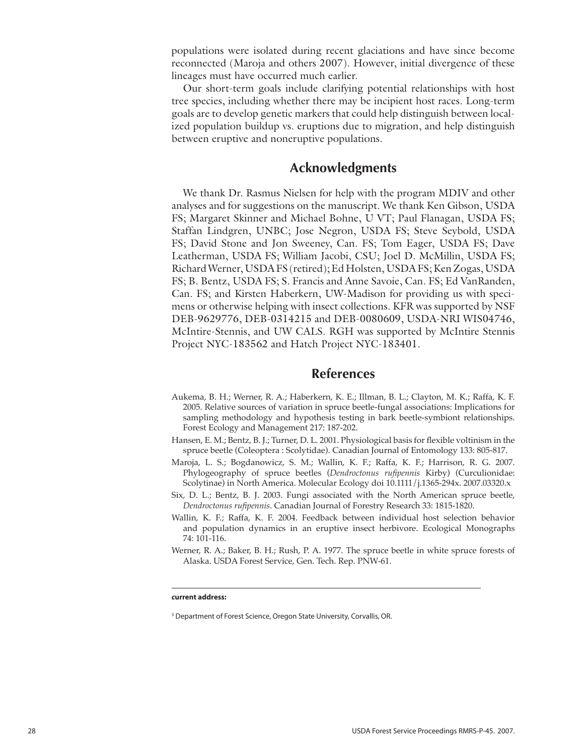populations were isolated during recent glaciations and have since become reconnected (Maroja and others 2007). However, initial divergence of these lineages must have occurred much earlier.

Our short-term goals include clarifying potential relationships with host tree species, including whether there may be incipient host races. Long-term goals are to develop genetic markers that could help distinguish between localized population buildup vs. eruptions due to migration, and help distinguish between eruptive and noneruptive populations.

### **Acknowledgments**

We thank Dr. Rasmus Nielsen for help with the program MDIV and other analyses and for suggestions on the manuscript. We thank Ken Gibson, USDA FS; Margaret Skinner and Michael Bohne, U VT; Paul Flanagan, USDA FS; Staffan Lindgren, UNBC; Jose Negron, USDA FS; Steve Seybold, USDA FS; David Stone and Jon Sweeney, Can. FS; Tom Eager, USDA FS; Dave Leatherman, USDA FS; William Jacobi, CSU; Joel D. McMillin, USDA FS; Richard Werner, USDA FS (retired); Ed Holsten, USDA FS; Ken Zogas, USDA FS; B. Bentz, USDA FS; S. Francis and Anne Savoie, Can. FS; Ed VanRanden, Can. FS; and Kirsten Haberkern, UW-Madison for providing us with specimens or otherwise helping with insect collections. KFR was supported by NSF DEB-9629776, DEB-0314215 and DEB-0080609, USDA-NRI WIS04746, McIntire-Stennis, and UW CALS. RGH was supported by McIntire Stennis Project NYC-183562 and Hatch Project NYC-183401.

### **References**

- Aukema, B. H.; Werner, R. A.; Haberkern, K. E.; Illman, B. L.; Clayton, M. K.; Raffa, K. F. 2005. Relative sources of variation in spruce beetle-fungal associations: Implications for sampling methodology and hypothesis testing in bark beetle-symbiont relationships. Forest Ecology and Management 217: 187-202.
- Hansen, E. M.; Bentz, B. J.; Turner, D. L. 2001. Physiological basis for flexible voltinism in the spruce beetle (Coleoptera : Scolytidae). Canadian Journal of Entomology 133: 805-817.
- Maroja, L. S.; Bogdanowicz, S. M.; Wallin, K. F.; Raffa, K. F.; Harrison, R. G. 2007. Phylogeography of spruce beetles (*Dendroctonus rufipennis* Kirby) (Curculionidae: Scolytinae) in North America. Molecular Ecology doi 10.1111/j.1365-294x. 2007.03320.x
- Six, D. L.; Bentz, B. J. 2003. Fungi associated with the North American spruce beetle, *Dendroctonus rufipennis*. Canadian Journal of Forestry Research 33: 1815-1820.
- Wallin, K. F.; Raffa, K. F. 2004. Feedback between individual host selection behavior and population dynamics in an eruptive insect herbivore. Ecological Monographs 74: 101-116.
- Werner, R. A.; Baker, B. H.; Rush, P. A. 1977. The spruce beetle in white spruce forests of Alaska. USDA Forest Service, Gen. Tech. Rep. PNW-61.

#### *c***urrent address:**

<sup>&</sup>lt;sup>3</sup> Department of Forest Science, Oregon State University, Corvallis, OR.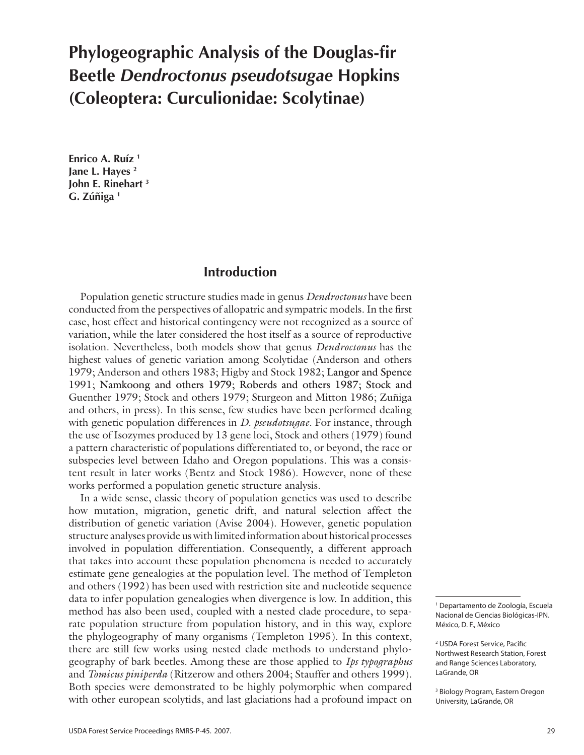# **Phylogeographic Analysis of the Douglas-fir Beetle** *Dendroctonus pseudotsugae* **Hopkins (Coleoptera: Curculionidae: Scolytinae)**

**Enrico A. Ruíz 1 Jane L. Hayes 2 John E. Rinehart 3 G. Zúñiga 1**

### **Introduction**

Population genetic structure studies made in genus *Dendroctonus* have been conducted from the perspectives of allopatric and sympatric models. In the first case, host effect and historical contingency were not recognized as a source of variation, while the later considered the host itself as a source of reproductive isolation. Nevertheless, both models show that genus *Dendroctonus* has the highest values of genetic variation among Scolytidae (Anderson and others 1979; Anderson and others 1983; Higby and Stock 1982; Langor and Spence 1991; Namkoong and others 1979; Roberds and others 1987; Stock and Guenther 1979; Stock and others 1979; Sturgeon and Mitton 1986; Zuñiga and others, in press). In this sense, few studies have been performed dealing with genetic population differences in *D. pseudotsugae*. For instance, through the use of Isozymes produced by 13 gene loci, Stock and others (1979) found a pattern characteristic of populations differentiated to, or beyond, the race or subspecies level between Idaho and Oregon populations. This was a consistent result in later works (Bentz and Stock 1986). However, none of these works performed a population genetic structure analysis.

In a wide sense, classic theory of population genetics was used to describe how mutation, migration, genetic drift, and natural selection affect the distribution of genetic variation (Avise 2004). However, genetic population structure analyses provide us with limited information about historical processes involved in population differentiation. Consequently, a different approach that takes into account these population phenomena is needed to accurately estimate gene genealogies at the population level. The method of Templeton and others (1992) has been used with restriction site and nucleotide sequence data to infer population genealogies when divergence is low. In addition, this method has also been used, coupled with a nested clade procedure, to separate population structure from population history, and in this way, explore the phylogeography of many organisms (Templeton 1995). In this context, there are still few works using nested clade methods to understand phylogeography of bark beetles. Among these are those applied to *Ips typographus* and *Tomicus piniperda* (Ritzerow and others 2004; Stauffer and others 1999). Both species were demonstrated to be highly polymorphic when compared with other european scolytids, and last glaciations had a profound impact on

<sup>1</sup> Departamento de Zoología, Escuela Nacional de Ciencias Biológicas-IPN. México, D. F., México

<sup>2</sup> USDA Forest Service, Pacific Northwest Research Station, Forest and Range Sciences Laboratory, LaGrande, OR

<sup>3</sup> Biology Program, Eastern Oregon University, LaGrande, OR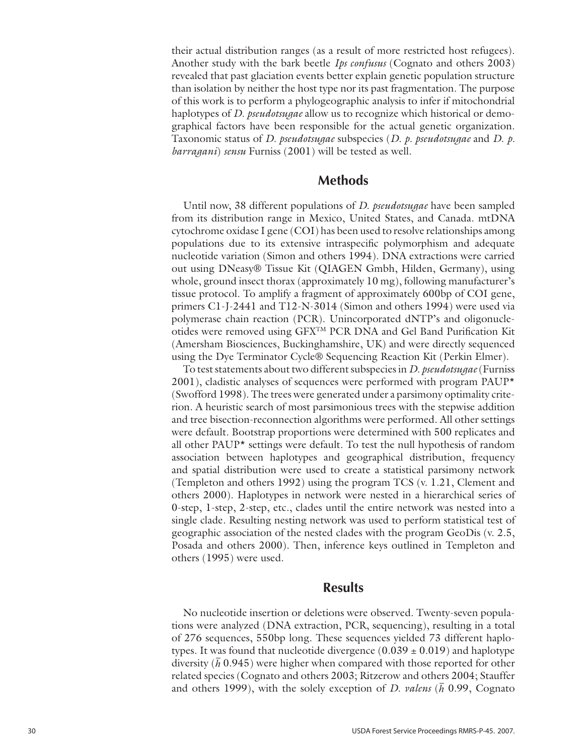their actual distribution ranges (as a result of more restricted host refugees). Another study with the bark beetle *Ips confusus* (Cognato and others 2003) revealed that past glaciation events better explain genetic population structure than isolation by neither the host type nor its past fragmentation. The purpose of this work is to perform a phylogeographic analysis to infer if mitochondrial haplotypes of *D. pseudotsugae* allow us to recognize which historical or demographical factors have been responsible for the actual genetic organization. Taxonomic status of *D. pseudotsugae* subspecies (*D. p. pseudotsugae* and *D*. *p. barragani*) *sensu* Furniss (2001) will be tested as well.

### **Methods**

Until now, 38 different populations of *D. pseudotsugae* have been sampled from its distribution range in Mexico, United States, and Canada. mtDNA cytochrome oxidase I gene (COI) has been used to resolve relationships among populations due to its extensive intraspecific polymorphism and adequate nucleotide variation (Simon and others 1994). DNA extractions were carried out using DNeasy® Tissue Kit (QIAGEN Gmbh, Hilden, Germany), using whole, ground insect thorax (approximately 10 mg), following manufacturer's tissue protocol. To amplify a fragment of approximately 600bp of COI gene, primers C1-J-2441 and T12-N-3014 (Simon and others 1994) were used via polymerase chain reaction (PCR). Unincorporated dNTP's and oligonucleotides were removed using GFXTM PCR DNA and Gel Band Purification Kit (Amersham Biosciences, Buckinghamshire, UK) and were directly sequenced using the Dye Terminator Cycle® Sequencing Reaction Kit (Perkin Elmer).

To test statements about two different subspecies in *D. pseudotsugae* (Furniss 2001), cladistic analyses of sequences were performed with program PAUP\* (Swofford 1998). The trees were generated under a parsimony optimality criterion. A heuristic search of most parsimonious trees with the stepwise addition and tree bisection-reconnection algorithms were performed. All other settings were default. Bootstrap proportions were determined with 500 replicates and all other PAUP\* settings were default. To test the null hypothesis of random association between haplotypes and geographical distribution, frequency and spatial distribution were used to create a statistical parsimony network (Templeton and others 1992) using the program TCS (v. 1.21, Clement and others 2000). Haplotypes in network were nested in a hierarchical series of 0-step, 1-step, 2-step, etc., clades until the entire network was nested into a single clade. Resulting nesting network was used to perform statistical test of geographic association of the nested clades with the program GeoDis (v. 2.5, Posada and others 2000). Then, inference keys outlined in Templeton and others (1995) were used.

### **Results**

No nucleotide insertion or deletions were observed. Twenty-seven populations were analyzed (DNA extraction, PCR, sequencing), resulting in a total of 276 sequences, 550bp long. These sequences yielded 73 different haplotypes. It was found that nucleotide divergence  $(0.039 \pm 0.019)$  and haplotype diversity  $(\bar{h}$  0.945) were higher when compared with those reported for other related species (Cognato and others 2003; Ritzerow and others 2004; Stauffer and others 1999), with the solely exception of *D. valens* (*h* 0.99, Cognato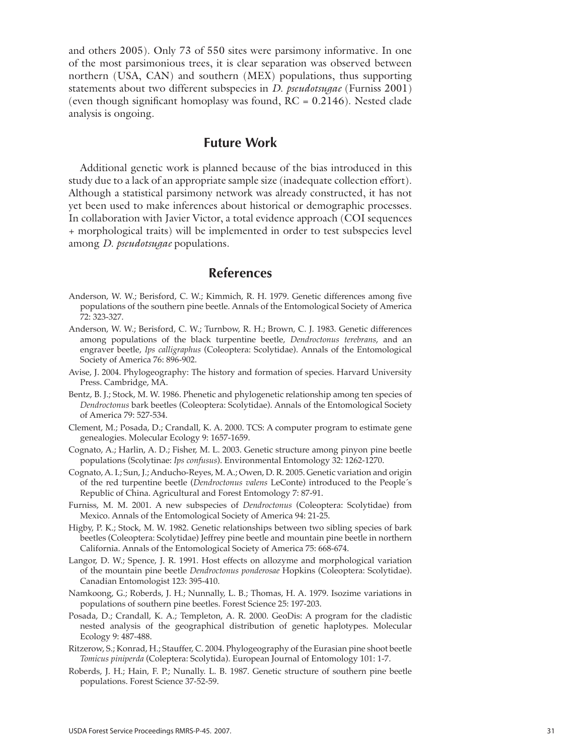and others 2005). Only 73 of 550 sites were parsimony informative. In one of the most parsimonious trees, it is clear separation was observed between northern (USA, CAN) and southern (MEX) populations, thus supporting statements about two different subspecies in *D. pseudotsugae* (Furniss 2001) (even though significant homoplasy was found,  $RC = 0.2146$ ). Nested clade analysis is ongoing.

### **Future Work**

Additional genetic work is planned because of the bias introduced in this study due to a lack of an appropriate sample size (inadequate collection effort). Although a statistical parsimony network was already constructed, it has not yet been used to make inferences about historical or demographic processes. In collaboration with Javier Victor, a total evidence approach (COI sequences + morphological traits) will be implemented in order to test subspecies level among *D. pseudotsugae* populations.

### **References**

- Anderson, W. W.; Berisford, C. W.; Kimmich, R. H. 1979. Genetic differences among five populations of the southern pine beetle. Annals of the Entomological Society of America 72: 323-327.
- Anderson, W. W.; Berisford, C. W.; Turnbow, R. H.; Brown, C. J. 1983. Genetic differences among populations of the black turpentine beetle, *Dendroctonus terebrans*, and an engraver beetle, *Ips calligraphus* (Coleoptera: Scolytidae). Annals of the Entomological Society of America 76: 896-902.
- Avise, J. 2004. Phylogeography: The history and formation of species. Harvard University Press. Cambridge, MA.
- Bentz, B. J.; Stock, M. W. 1986. Phenetic and phylogenetic relationship among ten species of *Dendroctonus* bark beetles (Coleoptera: Scolytidae). Annals of the Entomological Society of America 79: 527-534.
- Clement, M.; Posada, D.; Crandall, K. A. 2000. TCS: A computer program to estimate gene genealogies. Molecular Ecology 9: 1657-1659.
- Cognato, A.; Harlin, A. D.; Fisher, M. L. 2003. Genetic structure among pinyon pine beetle populations (Scolytinae: *Ips confusus*). Environmental Entomology 32: 1262-1270.
- Cognato, A. I.; Sun, J.; Anducho-Reyes, M. A.; Owen, D. R. 2005. Genetic variation and origin of the red turpentine beetle (*Dendroctonus valens* LeConte) introduced to the People´s Republic of China. Agricultural and Forest Entomology 7: 87-91.
- Furniss, M. M. 2001. A new subspecies of *Dendroctonus* (Coleoptera: Scolytidae) from Mexico. Annals of the Entomological Society of America 94: 21-25.
- Higby, P. K.; Stock, M. W. 1982. Genetic relationships between two sibling species of bark beetles (Coleoptera: Scolytidae) Jeffrey pine beetle and mountain pine beetle in northern California. Annals of the Entomological Society of America 75: 668-674.
- Langor, D. W.; Spence, J. R. 1991. Host effects on allozyme and morphological variation of the mountain pine beetle *Dendroctonus ponderosae* Hopkins (Coleoptera: Scolytidae). Canadian Entomologist 123: 395-410.
- Namkoong, G.; Roberds, J. H.; Nunnally, L. B.; Thomas, H. A. 1979. Isozime variations in populations of southern pine beetles. Forest Science 25: 197-203.
- Posada, D.; Crandall, K. A.; Templeton, A. R. 2000. GeoDis: A program for the cladistic nested analysis of the geographical distribution of genetic haplotypes. Molecular Ecology 9: 487-488.
- Ritzerow, S.; Konrad, H.; Stauffer, C. 2004. Phylogeography of the Eurasian pine shoot beetle *Tomicus piniperda* (Coleptera: Scolytida). European Journal of Entomology 101: 1-7.
- Roberds, J. H.; Hain, F. P.; Nunally. L. B. 1987. Genetic structure of southern pine beetle populations. Forest Science 37-52-59.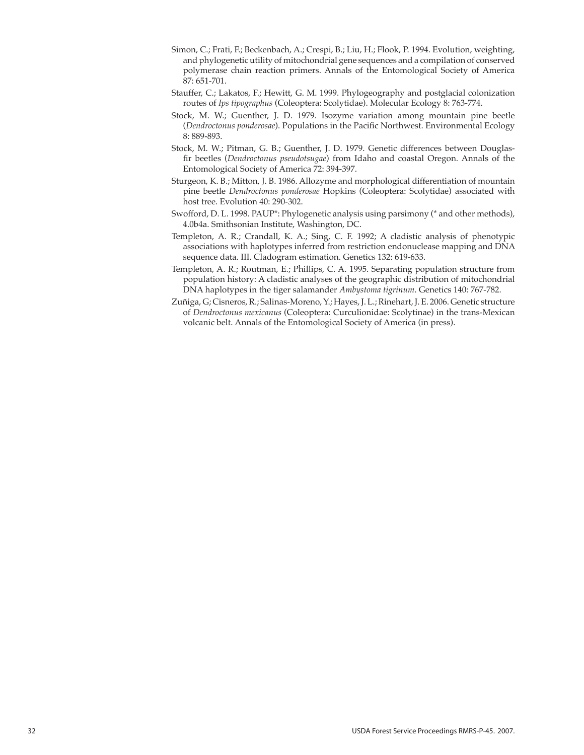- Simon, C.; Frati, F.; Beckenbach, A.; Crespi, B.; Liu, H.; Flook, P. 1994. Evolution, weighting, and phylogenetic utility of mitochondrial gene sequences and a compilation of conserved polymerase chain reaction primers. Annals of the Entomological Society of America 87: 651-701.
- Stauffer, C.; Lakatos, F.; Hewitt, G. M. 1999. Phylogeography and postglacial colonization routes of *Ips tipographus* (Coleoptera: Scolytidae). Molecular Ecology 8: 763-774.
- Stock, M. W.; Guenther, J. D. 1979. Isozyme variation among mountain pine beetle (*Dendroctonus ponderosae*). Populations in the Pacific Northwest. Environmental Ecology 8: 889-893.
- Stock, M. W.; Pitman, G. B.; Guenther, J. D. 1979. Genetic differences between Douglasfir beetles (*Dendroctonus pseudotsugae*) from Idaho and coastal Oregon. Annals of the Entomological Society of America 72: 394-397.
- Sturgeon, K. B.; Mitton, J. B. 1986. Allozyme and morphological differentiation of mountain pine beetle *Dendroctonus ponderosae* Hopkins (Coleoptera: Scolytidae) associated with host tree. Evolution 40: 290-302.
- Swofford, D. L. 1998. PAUP\*: Phylogenetic analysis using parsimony (\* and other methods), 4.0b4a. Smithsonian Institute, Washington, DC.
- Templeton, A. R.; Crandall, K. A.; Sing, C. F. 1992; A cladistic analysis of phenotypic associations with haplotypes inferred from restriction endonuclease mapping and DNA sequence data. III. Cladogram estimation. Genetics 132: 619-633.
- Templeton, A. R.; Routman, E.; Phillips, C. A. 1995. Separating population structure from population history: A cladistic analyses of the geographic distribution of mitochondrial DNA haplotypes in the tiger salamander *Ambystoma tigrinum*. Genetics 140: 767-782.
- Zuñiga, G; Cisneros, R.; Salinas-Moreno, Y.; Hayes, J. L.; Rinehart, J. E. 2006. Genetic structure of *Dendroctonus mexicanus* (Coleoptera: Curculionidae: Scolytinae) in the trans-Mexican volcanic belt. Annals of the Entomological Society of America (in press).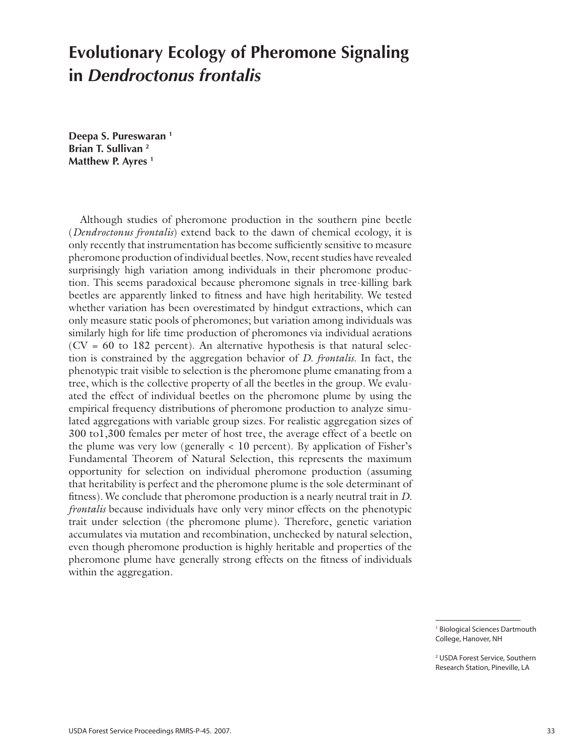## **Evolutionary Ecology of Pheromone Signaling in** *Dendroctonus frontalis*

**Deepa S. Pureswaran 1 Brian T. Sullivan 2 Matthew P. Ayres 1**

Although studies of pheromone production in the southern pine beetle (*Dendroctonus frontalis*) extend back to the dawn of chemical ecology, it is only recently that instrumentation has become sufficiently sensitive to measure pheromone production of individual beetles. Now, recent studies have revealed surprisingly high variation among individuals in their pheromone production. This seems paradoxical because pheromone signals in tree-killing bark beetles are apparently linked to fitness and have high heritability. We tested whether variation has been overestimated by hindgut extractions, which can only measure static pools of pheromones; but variation among individuals was similarly high for life time production of pheromones via individual aerations  $(CV = 60$  to 182 percent). An alternative hypothesis is that natural selection is constrained by the aggregation behavior of *D. frontalis*. In fact, the phenotypic trait visible to selection is the pheromone plume emanating from a tree, which is the collective property of all the beetles in the group. We evaluated the effect of individual beetles on the pheromone plume by using the empirical frequency distributions of pheromone production to analyze simulated aggregations with variable group sizes. For realistic aggregation sizes of 300 to1,300 females per meter of host tree, the average effect of a beetle on the plume was very low (generally  $\langle 10 \text{ percent} \rangle$ ). By application of Fisher's Fundamental Theorem of Natural Selection, this represents the maximum opportunity for selection on individual pheromone production (assuming that heritability is perfect and the pheromone plume is the sole determinant of fitness). We conclude that pheromone production is a nearly neutral trait in *D. frontalis* because individuals have only very minor effects on the phenotypic trait under selection (the pheromone plume). Therefore, genetic variation accumulates via mutation and recombination, unchecked by natural selection, even though pheromone production is highly heritable and properties of the pheromone plume have generally strong effects on the fitness of individuals within the aggregation.

> 1 Biological Sciences Dartmouth College, Hanover, NH

> 2 USDA Forest Service, Southern Research Station, Pineville, LA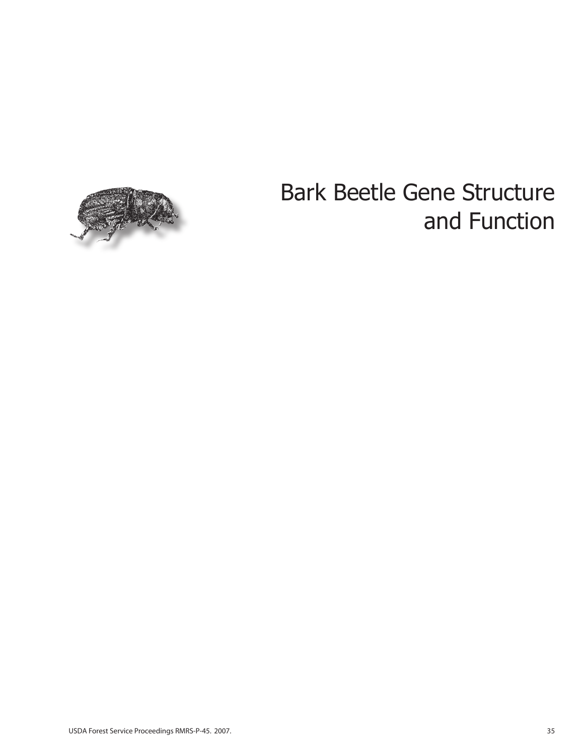

# Bark Beetle Gene Structure and Function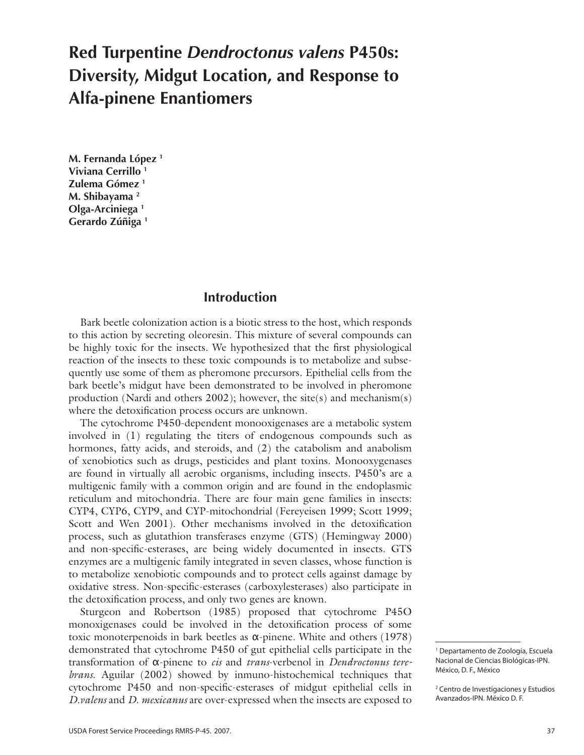# **Red Turpentine** *Dendroctonus valens* **P450s: Diversity, Midgut Location, and Response to Alfa-pinene Enantiomers**

**M. Fernanda López 1 Viviana Cerrillo 1 Zulema Gómez 1 M. Shibayama 2 Olga-Arciniega 1 Gerardo Zúñiga 1**

### **Introduction**

Bark beetle colonization action is a biotic stress to the host, which responds to this action by secreting oleoresin. This mixture of several compounds can be highly toxic for the insects. We hypothesized that the first physiological reaction of the insects to these toxic compounds is to metabolize and subsequently use some of them as pheromone precursors. Epithelial cells from the bark beetle's midgut have been demonstrated to be involved in pheromone production (Nardi and others 2002); however, the site(s) and mechanism(s) where the detoxification process occurs are unknown.

The cytochrome P450-dependent monooxigenases are a metabolic system involved in (1) regulating the titers of endogenous compounds such as hormones, fatty acids, and steroids, and (2) the catabolism and anabolism of xenobiotics such as drugs, pesticides and plant toxins. Monooxygenases are found in virtually all aerobic organisms, including insects. P450's are a multigenic family with a common origin and are found in the endoplasmic reticulum and mitochondria. There are four main gene families in insects: CYP4, CYP6, CYP9, and CYP-mitochondrial (Fereyeisen 1999; Scott 1999; Scott and Wen 2001). Other mechanisms involved in the detoxification process, such as glutathion transferases enzyme (GTS) (Hemingway 2000) and non-specific-esterases, are being widely documented in insects. GTS enzymes are a multigenic family integrated in seven classes, whose function is to metabolize xenobiotic compounds and to protect cells against damage by oxidative stress. Non-specific-esterases (carboxylesterases) also participate in the detoxification process, and only two genes are known.

Sturgeon and Robertson (1985) proposed that cytochrome P45O monoxigenases could be involved in the detoxification process of some toxic monoterpenoids in bark beetles as α-pinene. White and others  $(1978)$ demonstrated that cytochrome P450 of gut epithelial cells participate in the transformation of α-pinene to *cis* and *trans*-verbenol in *Dendroctonus terebrans*. Aguilar (2002) showed by inmuno-histochemical techniques that cytochrome P450 and non-specific-esterases of midgut epithelial cells in *D.valens* and *D. mexicanus* are over-expressed when the insects are exposed to

<sup>1</sup> Departamento de Zoología, Escuela Nacional de Ciencias Biológicas-IPN. México, D. F., México

<sup>2</sup> Centro de Investigaciones y Estudios Avanzados-IPN. México D. F.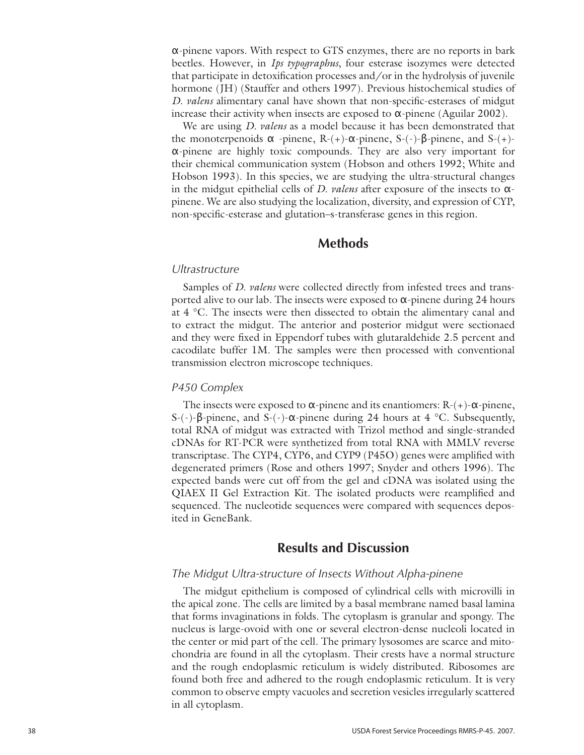α-pinene vapors. With respect to GTS enzymes, there are no reports in bark beetles. However, in *Ips typographus*, four esterase isozymes were detected that participate in detoxification processes and/or in the hydrolysis of juvenile hormone (JH) (Stauffer and others 1997). Previous histochemical studies of *D. valens* alimentary canal have shown that non-specific-esterases of midgut increase their activity when insects are exposed to  $\alpha$ -pinene (Aguilar 2002).

We are using *D. valens* as a model because it has been demonstrated that the monoterpenoids  $\alpha$  -pinene, R-(+)- $\alpha$ -pinene, S-(-)- $\beta$ -pinene, and S-(+)α-pinene are highly toxic compounds. They are also very important for their chemical communication system (Hobson and others 1992; White and Hobson 1993). In this species, we are studying the ultra-structural changes in the midgut epithelial cells of *D. valens* after exposure of the insects to αpinene. We are also studying the localization, diversity, and expression of CYP, non-specific-esterase and glutation–s-transferase genes in this region.

### **Methods**

#### *Ultrastructure*

Samples of *D. valens* were collected directly from infested trees and transported alive to our lab. The insects were exposed to  $\alpha$ -pinene during 24 hours at 4 °C. The insects were then dissected to obtain the alimentary canal and to extract the midgut. The anterior and posterior midgut were sectionaed and they were fixed in Eppendorf tubes with glutaraldehide 2.5 percent and cacodilate buffer 1M. The samples were then processed with conventional transmission electron microscope techniques.

#### *P450 Complex*

The insects were exposed to  $\alpha$ -pinene and its enantiomers: R-(+)- $\alpha$ -pinene, S-(-)-β-pinene, and S-(-)-α-pinene during 24 hours at 4 °C. Subsequently, total RNA of midgut was extracted with Trizol method and single-stranded cDNAs for RT-PCR were synthetized from total RNA with MMLV reverse transcriptase. The CYP4, CYP6, and CYP9 (P45O) genes were amplified with degenerated primers (Rose and others 1997; Snyder and others 1996). The expected bands were cut off from the gel and cDNA was isolated using the QIAEX II Gel Extraction Kit. The isolated products were reamplified and sequenced. The nucleotide sequences were compared with sequences deposited in GeneBank.

### **Results and Discussion**

### *The Midgut Ultra-structure of Insects Without Alpha-pinene*

The midgut epithelium is composed of cylindrical cells with microvilli in the apical zone. The cells are limited by a basal membrane named basal lamina that forms invaginations in folds. The cytoplasm is granular and spongy. The nucleus is large-ovoid with one or several electron-dense nucleoli located in the center or mid part of the cell. The primary lysosomes are scarce and mitochondria are found in all the cytoplasm. Their crests have a normal structure and the rough endoplasmic reticulum is widely distributed. Ribosomes are found both free and adhered to the rough endoplasmic reticulum. It is very common to observe empty vacuoles and secretion vesicles irregularly scattered in all cytoplasm.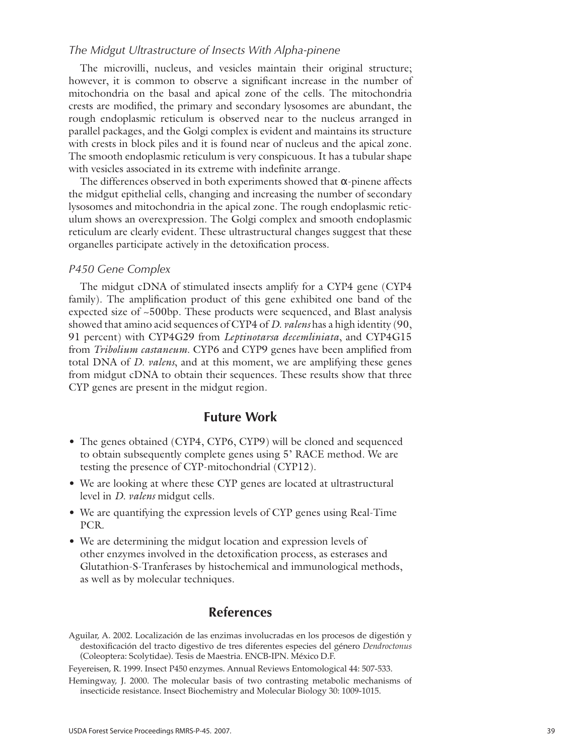### *The Midgut Ultrastructure of Insects With Alpha-pinene*

The microvilli, nucleus, and vesicles maintain their original structure; however, it is common to observe a significant increase in the number of mitochondria on the basal and apical zone of the cells. The mitochondria crests are modified, the primary and secondary lysosomes are abundant, the rough endoplasmic reticulum is observed near to the nucleus arranged in parallel packages, and the Golgi complex is evident and maintains its structure with crests in block piles and it is found near of nucleus and the apical zone. The smooth endoplasmic reticulum is very conspicuous. It has a tubular shape with vesicles associated in its extreme with indefinite arrange.

The differences observed in both experiments showed that  $\alpha$ -pinene affects the midgut epithelial cells, changing and increasing the number of secondary lysosomes and mitochondria in the apical zone. The rough endoplasmic reticulum shows an overexpression. The Golgi complex and smooth endoplasmic reticulum are clearly evident. These ultrastructural changes suggest that these organelles participate actively in the detoxification process.

### *P450 Gene Complex*

The midgut cDNA of stimulated insects amplify for a CYP4 gene (CYP4 family). The amplification product of this gene exhibited one band of the expected size of ~500bp. These products were sequenced, and Blast analysis showed that amino acid sequences of CYP4 of *D. valens* has a high identity (90, 91 percent) with CYP4G29 from *Leptinotarsa decemliniata*, and CYP4G15 from *Tribolium castaneum*. CYP6 and CYP9 genes have been amplified from total DNA of *D. valens*, and at this moment, we are amplifying these genes from midgut cDNA to obtain their sequences. These results show that three CYP genes are present in the midgut region.

### **Future Work**

- The genes obtained (CYP4, CYP6, CYP9) will be cloned and sequenced to obtain subsequently complete genes using 5' RACE method. We are testing the presence of CYP-mitochondrial (CYP12).
- We are looking at where these CYP genes are located at ultrastructural level in *D. valens* midgut cells.
- We are quantifying the expression levels of CYP genes using Real-Time PCR.
- We are determining the midgut location and expression levels of •other enzymes involved in the detoxification process, as esterases and Glutathion-S-Tranferases by histochemical and immunological methods, as well as by molecular techniques.

### **References**

Aguilar, A. 2002. Localización de las enzimas involucradas en los procesos de digestión y destoxificación del tracto digestivo de tres diferentes especies del género *Dendroctonus* (Coleoptera: Scolytidae). Tesis de Maestria. ENCB-IPN. México D.F.

Feyereisen, R. 1999. Insect P450 enzymes. Annual Reviews Entomological 44: 507-533.

Hemingway, J. 2000. The molecular basis of two contrasting metabolic mechanisms of insecticide resistance. Insect Biochemistry and Molecular Biology 30: 1009-1015.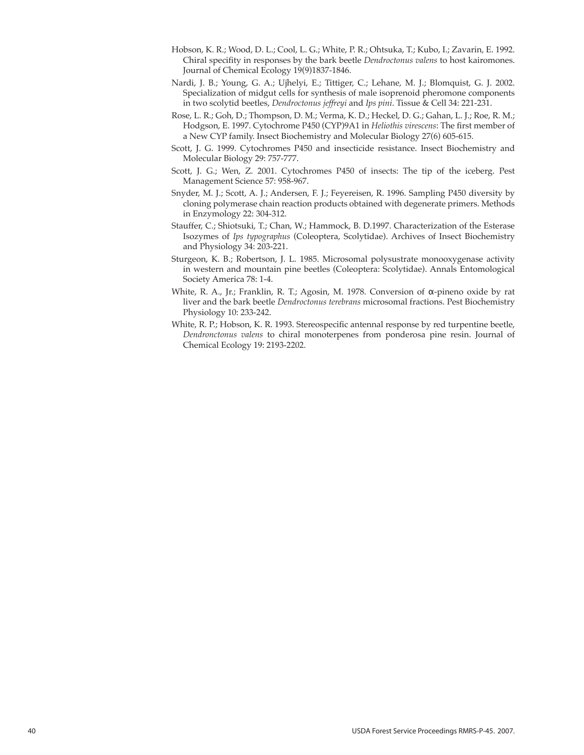- Hobson, K. R.; Wood, D. L.; Cool, L. G.; White, P. R.; Ohtsuka, T.; Kubo, I.; Zavarin, E. 1992. Chiral specifity in responses by the bark beetle *Dendroctonus valens* to host kairomones. Journal of Chemical Ecology 19(9)1837-1846.
- Nardi, J. B.; Young, G. A.; Ujhelyi, E.; Tittiger, C.; Lehane, M. J.; Blomquist, G. J. 2002. Specialization of midgut cells for synthesis of male isoprenoid pheromone components in two scolytid beetles, *Dendroctonus jeffreyi* and *Ips pini*. Tissue & Cell 34: 221-231.
- Rose, L. R.; Goh, D.; Thompson, D. M.; Verma, K. D.; Heckel, D. G.; Gahan, L. J.; Roe, R. M.; Hodgson, E. 1997. Cytochrome P450 (CYP)9A1 in *Heliothis virescens*: The first member of a New CYP family. Insect Biochemistry and Molecular Biology 27(6) 605-615.
- Scott, J. G. 1999. Cytochromes P450 and insecticide resistance. Insect Biochemistry and Molecular Biology 29: 757-777.
- Scott, J. G.; Wen, Z. 2001. Cytochromes P450 of insects: The tip of the iceberg. Pest Management Science 57: 958-967.
- Snyder, M. J.; Scott, A. J.; Andersen, F. J.; Feyereisen, R. 1996. Sampling P450 diversity by cloning polymerase chain reaction products obtained with degenerate primers. Methods in Enzymology 22: 304-312.
- Stauffer, C.; Shiotsuki, T.; Chan, W.; Hammock, B. D.1997. Characterization of the Esterase Isozymes of *Ips typographus* (Coleoptera, Scolytidae). Archives of Insect Biochemistry and Physiology 34: 203-221.
- Sturgeon, K. B.; Robertson, J. L. 1985. Microsomal polysustrate monooxygenase activity in western and mountain pine beetles (Coleoptera: Scolytidae). Annals Entomological Society America 78: 1-4.
- White, R. A., Jr.; Franklin, R. T.; Agosin, M. 1978. Conversion of  $\alpha$ -pineno oxide by rat liver and the bark beetle *Dendroctonus terebrans* microsomal fractions. Pest Biochemistry Physiology 10: 233-242.
- White, R. P.; Hobson, K. R. 1993. Stereospecific antennal response by red turpentine beetle, *Dendronctonus valens* to chiral monoterpenes from ponderosa pine resin. Journal of Chemical Ecology 19: 2193-2202.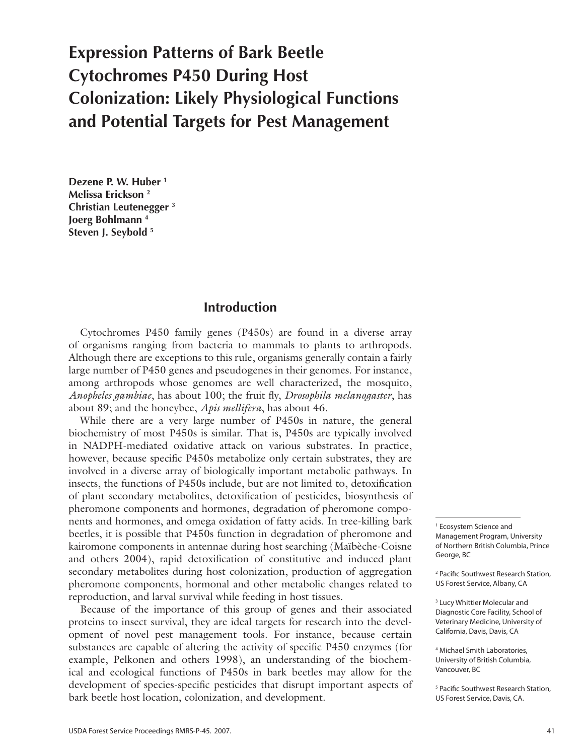# **Expression Patterns of Bark Beetle Cytochromes P450 During Host Colonization: Likely Physiological Functions and Potential Targets for Pest Management**

**Dezene P. W. Huber 1 Melissa Erickson 2 Christian Leutenegger 3 Joerg Bohlmann 4 Steven J. Seybold 5**

### **Introduction**

Cytochromes P450 family genes (P450s) are found in a diverse array of organisms ranging from bacteria to mammals to plants to arthropods. Although there are exceptions to this rule, organisms generally contain a fairly large number of P450 genes and pseudogenes in their genomes. For instance, among arthropods whose genomes are well characterized, the mosquito, *Anopheles gambiae*, has about 100; the fruit fly, *Drosophila melanogaster*, has about 89; and the honeybee, *Apis mellifera*, has about 46.

While there are a very large number of P450s in nature, the general biochemistry of most P450s is similar. That is, P450s are typically involved in NADPH-mediated oxidative attack on various substrates. In practice, however, because specific P450s metabolize only certain substrates, they are involved in a diverse array of biologically important metabolic pathways. In insects, the functions of P450s include, but are not limited to, detoxification of plant secondary metabolites, detoxification of pesticides, biosynthesis of pheromone components and hormones, degradation of pheromone components and hormones, and omega oxidation of fatty acids. In tree-killing bark beetles, it is possible that P450s function in degradation of pheromone and kairomone components in antennae during host searching (Maïbèche-Coisne and others 2004), rapid detoxification of constitutive and induced plant secondary metabolites during host colonization, production of aggregation pheromone components, hormonal and other metabolic changes related to reproduction, and larval survival while feeding in host tissues.

Because of the importance of this group of genes and their associated proteins to insect survival, they are ideal targets for research into the development of novel pest management tools. For instance, because certain substances are capable of altering the activity of specific P450 enzymes (for example, Pelkonen and others 1998), an understanding of the biochemical and ecological functions of P450s in bark beetles may allow for the development of species-specific pesticides that disrupt important aspects of bark beetle host location, colonization, and development.

1 Ecosystem Science and Management Program, University of Northern British Columbia, Prince George, BC

2 Pacific Southwest Research Station, US Forest Service, Albany, CA

<sup>3</sup> Lucy Whittier Molecular and Diagnostic Core Facility, School of Veterinary Medicine, University of California, Davis, Davis, CA

4 Michael Smith Laboratories, University of British Columbia, Vancouver, BC

5 Pacific Southwest Research Station, US Forest Service, Davis, CA.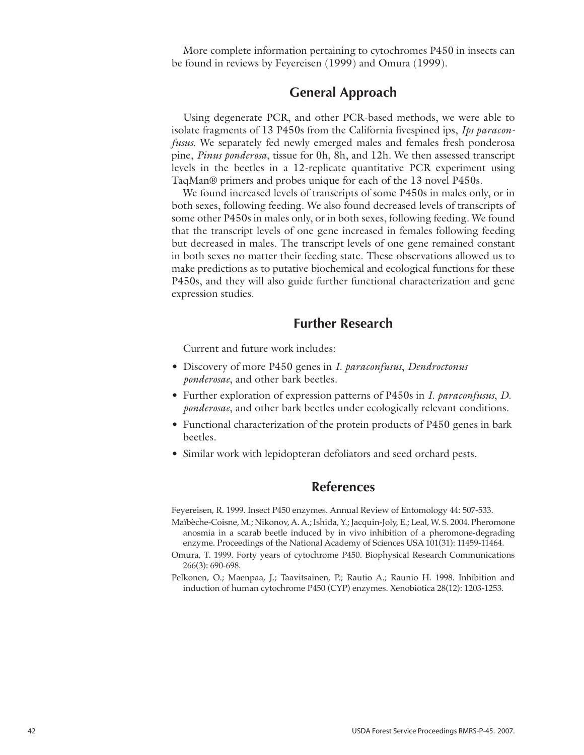More complete information pertaining to cytochromes P450 in insects can be found in reviews by Feyereisen (1999) and Omura (1999).

### **General Approach**

Using degenerate PCR, and other PCR-based methods, we were able to isolate fragments of 13 P450s from the California fivespined ips, *Ips paraconfusus*. We separately fed newly emerged males and females fresh ponderosa pine, *Pinus ponderosa*, tissue for 0h, 8h, and 12h. We then assessed transcript levels in the beetles in a 12-replicate quantitative PCR experiment using TaqMan® primers and probes unique for each of the 13 novel P450s.

We found increased levels of transcripts of some P450s in males only, or in both sexes, following feeding. We also found decreased levels of transcripts of some other P450s in males only, or in both sexes, following feeding. We found that the transcript levels of one gene increased in females following feeding but decreased in males. The transcript levels of one gene remained constant in both sexes no matter their feeding state. These observations allowed us to make predictions as to putative biochemical and ecological functions for these P450s, and they will also guide further functional characterization and gene expression studies.

### **Further Research**

Current and future work includes:

- Discovery of more P450 genes in *I. paraconfusus*, *Dendroctonus ponderosae*, and other bark beetles.
- Further exploration of expression patterns of P450s in *I. paraconfusus*, *D. ponderosae*, and other bark beetles under ecologically relevant conditions.
- Functional characterization of the protein products of P450 genes in bark beetles.
- Similar work with lepidopteran defoliators and seed orchard pests.

### **References**

Feyereisen, R. 1999. Insect P450 enzymes. Annual Review of Entomology 44: 507-533.

- Maïbèche-Coisne, M.; Nikonov, A. A.; Ishida, Y.; Jacquin-Joly, E.; Leal, W. S. 2004. Pheromone anosmia in a scarab beetle induced by in vivo inhibition of a pheromone-degrading enzyme. Proceedings of the National Academy of Sciences USA 101(31): 11459-11464.
- Omura, T. 1999. Forty years of cytochrome P450. Biophysical Research Communications 266(3): 690-698.
- Pelkonen, O.; Maenpaa, J.; Taavitsainen, P.; Rautio A.; Raunio H. 1998. Inhibition and induction of human cytochrome P450 (CYP) enzymes. Xenobiotica 28(12): 1203-1253.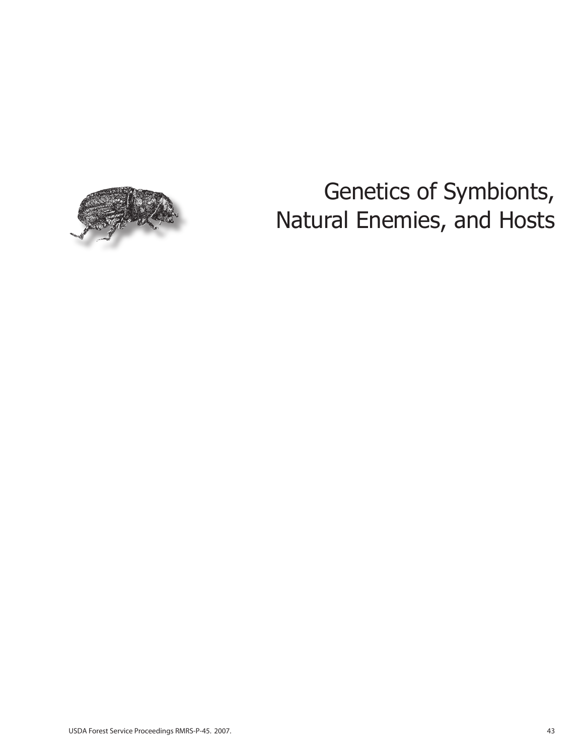

# Genetics of Symbionts, Natural Enemies, and Hosts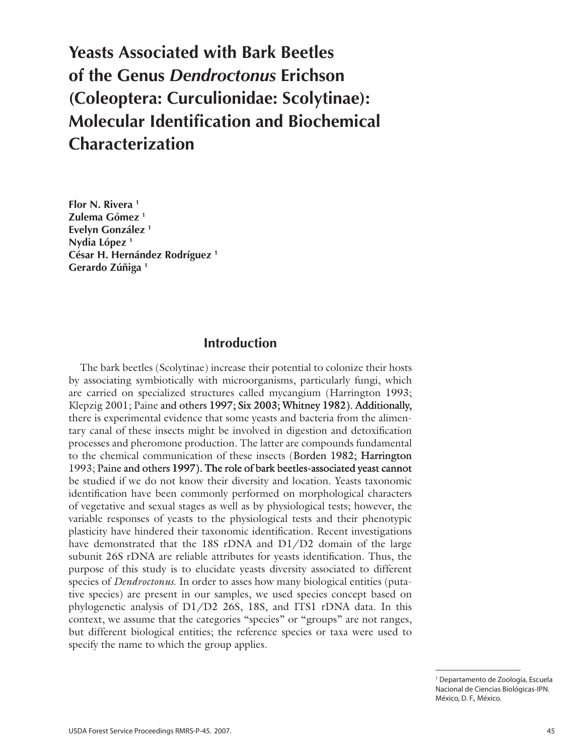# **Yeasts Associated with Bark Beetles of the Genus** *Dendroctonus* **Erichson (Coleoptera: Curculionidae: Scolytinae): Molecular Identification and Biochemical Characterization**

**Flor N. Rivera 1 Zulema Gómez 1 Evelyn González 1 Nydia López 1 César H. Hernández Rodríguez 1 Gerardo Zúñiga 1**

### **Introduction**

The bark beetles (Scolytinae) increase their potential to colonize their hosts by associating symbiotically with microorganisms, particularly fungi, which are carried on specialized structures called mycangium (Harrington 1993; Klepzig 2001; Paine and others 1997; Six 2003; Whitney 1982). Additionally, there is experimental evidence that some yeasts and bacteria from the alimentary canal of these insects might be involved in digestion and detoxification processes and pheromone production. The latter are compounds fundamental to the chemical communication of these insects (Borden 1982; Harrington 1993; Paine and others 1997). The role of bark beetles-associated yeast cannot be studied if we do not know their diversity and location. Yeasts taxonomic identification have been commonly performed on morphological characters of vegetative and sexual stages as well as by physiological tests; however, the variable responses of yeasts to the physiological tests and their phenotypic plasticity have hindered their taxonomic identification. Recent investigations have demonstrated that the 18S rDNA and D1/D2 domain of the large subunit 26S rDNA are reliable attributes for yeasts identification. Thus, the purpose of this study is to elucidate yeasts diversity associated to different species of *Dendroctonus*. In order to asses how many biological entities (putative species) are present in our samples, we used species concept based on phylogenetic analysis of D1/D2 26S, 18S, and ITS1 rDNA data. In this context, we assume that the categories "species" or "groups" are not ranges, but different biological entities; the reference species or taxa were used to specify the name to which the group applies.

<sup>1</sup> Departamento de Zoología, Escuela Nacional de Ciencias Biológicas-IPN. México, D. F., México.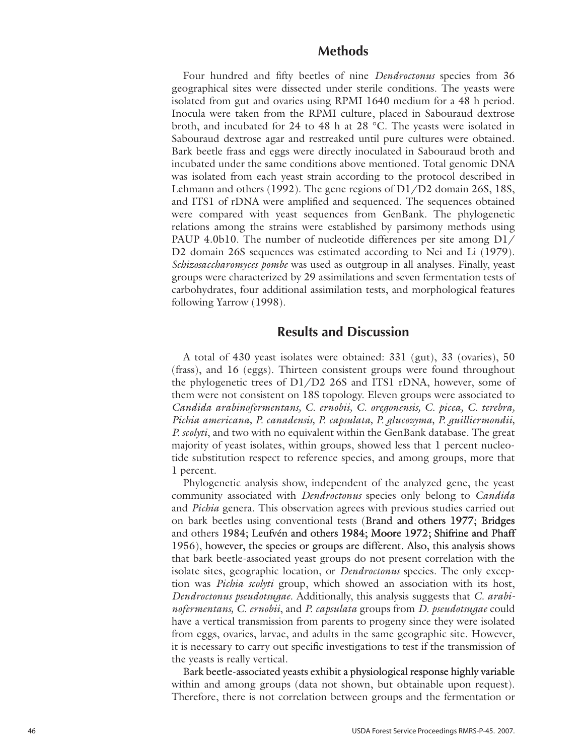### **Methods**

Four hundred and fifty beetles of nine *Dendroctonus* species from 36 geographical sites were dissected under sterile conditions. The yeasts were isolated from gut and ovaries using RPMI 1640 medium for a 48 h period. Inocula were taken from the RPMI culture, placed in Sabouraud dextrose broth, and incubated for 24 to 48 h at 28 °C. The yeasts were isolated in Sabouraud dextrose agar and restreaked until pure cultures were obtained. Bark beetle frass and eggs were directly inoculated in Sabouraud broth and incubated under the same conditions above mentioned. Total genomic DNA was isolated from each yeast strain according to the protocol described in Lehmann and others (1992). The gene regions of D1/D2 domain 26S, 18S, and ITS1 of rDNA were amplified and sequenced. The sequences obtained were compared with yeast sequences from GenBank. The phylogenetic relations among the strains were established by parsimony methods using PAUP 4.0b10. The number of nucleotide differences per site among D1/ D2 domain 26S sequences was estimated according to Nei and Li (1979). *Schizosaccharomyces pombe* was used as outgroup in all analyses. Finally, yeast groups were characterized by 29 assimilations and seven fermentation tests of carbohydrates, four additional assimilation tests, and morphological features following Yarrow (1998).

### **Results and Discussion**

A total of 430 yeast isolates were obtained: 331 (gut), 33 (ovaries), 50 (frass), and 16 (eggs). Thirteen consistent groups were found throughout the phylogenetic trees of D1/D2 26S and ITS1 rDNA, however, some of them were not consistent on 18S topology. Eleven groups were associated to *Candida arabinofermentans, C. ernobii, C. oregonensis, C. picea, C. terebra, Pichia americana, P. canadensis, P. capsulata, P. glucozyma, P. guilliermondii, P. scolyti*, and two with no equivalent within the GenBank database. The great majority of yeast isolates, within groups, showed less that 1 percent nucleo tide substitution respect to reference species, and among groups, more that 1 percent.

Phylogenetic analysis show, independent of the analyzed gene, the yeast community associated with *Dendroctonus* species only belong to *Candida* and *Pichia* genera. This observation agrees with previous studies carried out on bark beetles using conventional tests (Brand and others 1977; Bridges and others 1984; Leufv �n and others 1984; Moore 1972; Shifrine and Phaff 1956), however, the species or groups are different. Also, this analysis shows that bark beetle-associated yeast groups do not present correlation with the isolate sites, geographic location, or *Dendroctonus* species. The only excep tion was *Pichia scolyti* group, which showed an association with its host, *Dendroctonus pseudotsugae*. Additionally, this analysis suggests that *C. arabi nofermentans, C. ernobii* , and *P. capsulata* groups from *D. pseudotsugae* could have a vertical transmission from parents to progeny since they were isolated from eggs, ovaries, larvae, and adults in the same geographic site. However, it is necessary to carry out specific investigations to test if the transmission of the yeasts is really vertical.

Bark beetle-associated yeasts exhibit a physiological response highly variable within and among groups (data not shown, but obtainable upon request). Therefore, there is not correlation between groups and the fermentation or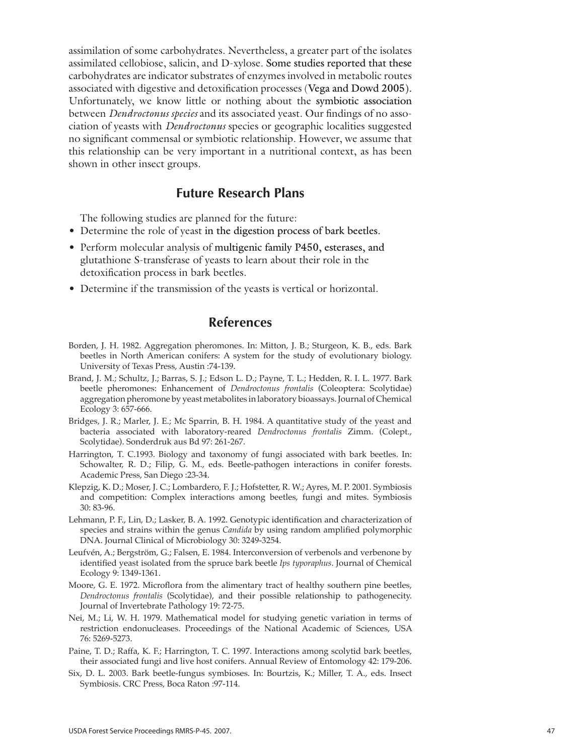assimilation of some carbohydrates. Nevertheless, a greater part of the isolates assimilated cellobiose, salicin, and D-xylose. Some studies reported that these carbohydrates are indicator substrates of enzymes involved in metabolic routes associated with digestive and detoxification processes (Vega and Dowd 2005). Unfortunately, we know little or nothing about the symbiotic association between *Dendroctonus species* and its associated yeast. Our findings of no association of yeasts with *Dendroctonus* species or geographic localities suggested no significant commensal or symbiotic relationship. However, we assume that this relationship can be very important in a nutritional context, as has been shown in other insect groups.

### **Future Research Plans**

The following studies are planned for the future:

- Determine the role of yeast in the digestion process of bark beetles.
- Perform molecular analysis of multigenic family P450, esterases, and glutathione S-transferase of yeasts to learn about their role in the detoxification process in bark beetles.
- Determine if the transmission of the yeasts is vertical or horizontal.

### **References**

- Borden, J. H. 1982. Aggregation pheromones. In: Mitton, J. B.; Sturgeon, K. B., eds. Bark beetles in North American conifers: A system for the study of evolutionary biology. University of Texas Press, Austin :74-139.
- Brand, J. M.; Schultz, J.; Barras, S. J.; Edson L. D.; Payne, T. L.; Hedden, R. I. L. 1977. Bark beetle pheromones: Enhancement of *Dendroctonus frontalis* (Coleoptera: Scolytidae) aggregation pheromone by yeast metabolites in laboratory bioassays. Journal of Chemical Ecology 3: 657-666.
- Bridges, J. R.; Marler, J. E.; Mc Sparrin, B. H. 1984. A quantitative study of the yeast and bacteria associated with laboratory-reared *Dendroctonus frontalis* Zimm. (Colept., Scolytidae). Sonderdruk aus Bd 97: 261-267.
- Harrington, T. C.1993. Biology and taxonomy of fungi associated with bark beetles. In: Schowalter, R. D.; Filip, G. M., eds. Beetle-pathogen interactions in conifer forests. Academic Press, San Diego :23-34.
- Klepzig, K. D.; Moser, J. C.; Lombardero, F. J.; Hofstetter, R. W.; Ayres, M. P. 2001. Symbiosis and competition: Complex interactions among beetles, fungi and mites. Symbiosis 30: 83-96.
- Lehmann, P. F., Lin, D.; Lasker, B. A. 1992. Genotypic identification and characterization of species and strains within the genus *Candida* by using random amplified polymorphic DNA. Journal Clinical of Microbiology 30: 3249-3254.
- Leufvén, A.; Bergström, G.; Falsen, E. 1984. Interconversion of verbenols and verbenone by identified yeast isolated from the spruce bark beetle *Ips typoraphus*. Journal of Chemical Ecology 9: 1349-1361.
- Moore, G. E. 1972. Microflora from the alimentary tract of healthy southern pine beetles, *Dendroctonus frontalis* (Scolytidae), and their possible relationship to pathogenecity. Journal of Invertebrate Pathology 19: 72-75.
- Nei, M.; Li, W. H. 1979. Mathematical model for studying genetic variation in terms of restriction endonucleases. Proceedings of the National Academic of Sciences, USA 76: 5269-5273.
- Paine, T. D.; Raffa, K. F.; Harrington, T. C. 1997. Interactions among scolytid bark beetles, their associated fungi and live host conifers. Annual Review of Entomology 42: 179-206.
- Six, D. L. 2003. Bark beetle-fungus symbioses. In: Bourtzis, K.; Miller, T. A., eds. Insect Symbiosis. CRC Press, Boca Raton :97-114.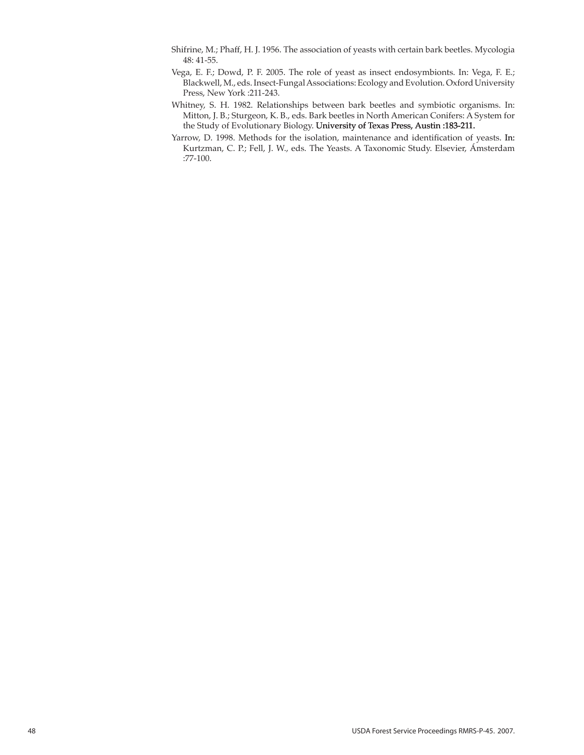- Shifrine, M.; Phaff, H. J. 1956. The association of yeasts with certain bark beetles. Mycologia 48: 41-55.
- Vega, E. F.; Dowd, P. F. 2005. The role of yeast as insect endosymbionts. In: Vega, F. E.; Blackwell, M., eds. Insect-Fungal Associations: Ecology and Evolution. Oxford University Press, New York :211-243.
- Whitney, S. H. 1982. Relationships between bark beetles and symbiotic organisms. In: Mitton, J. B.; Sturgeon, K. B., eds. Bark beetles in North American Conifers: A System for the Study of Evolutionary Biology. University of Texas Press, Austin :183-211.
- Yarrow, D. 1998. Methods for the isolation, maintenance and identification of yeasts. In: Kurtzman, C. P.; Fell, J. W., eds. The Yeasts. A Taxonomic Study. Elsevier, Ámsterdam :77-100.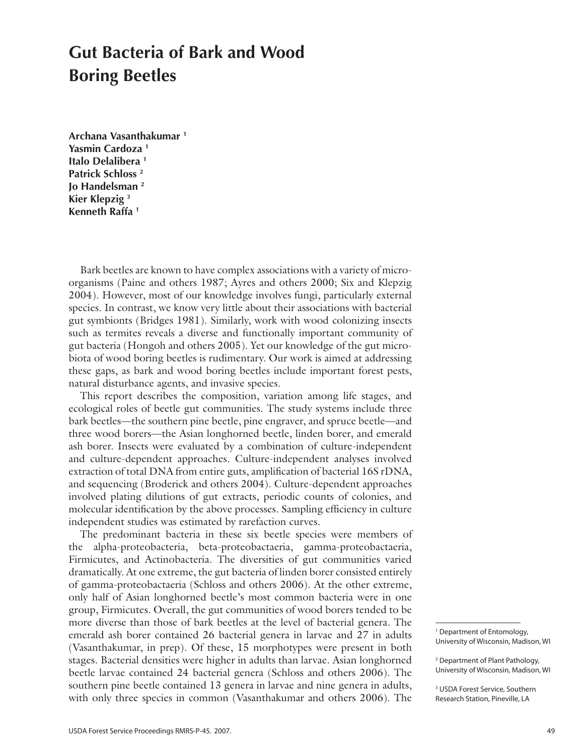## **Gut Bacteria of Bark and Wood Boring Beetles**

**Archana Vasanthakumar 1 Yasmin Cardoza 1 Italo Delalibera 1 Patrick Schloss 2 Jo Handelsman 2 Kier Klepzig 3 Kenneth Raffa 1**

Bark beetles are known to have complex associations with a variety of microorganisms (Paine and others 1987; Ayres and others 2000; Six and Klepzig 2004). However, most of our knowledge involves fungi, particularly external species. In contrast, we know very little about their associations with bacterial gut symbionts (Bridges 1981). Similarly, work with wood colonizing insects such as termites reveals a diverse and functionally important community of gut bacteria (Hongoh and others 2005). Yet our knowledge of the gut microbiota of wood boring beetles is rudimentary. Our work is aimed at addressing these gaps, as bark and wood boring beetles include important forest pests, natural disturbance agents, and invasive species.

This report describes the composition, variation among life stages, and ecological roles of beetle gut communities. The study systems include three bark beetles—the southern pine beetle, pine engraver, and spruce beetle—and three wood borers—the Asian longhorned beetle, linden borer, and emerald ash borer. Insects were evaluated by a combination of culture-independent and culture-dependent approaches. Culture-independent analyses involved extraction of total DNA from entire guts, amplification of bacterial 16S rDNA, and sequencing (Broderick and others 2004). Culture-dependent approaches involved plating dilutions of gut extracts, periodic counts of colonies, and molecular identification by the above processes. Sampling efficiency in culture independent studies was estimated by rarefaction curves.

The predominant bacteria in these six beetle species were members of the alpha-proteobacteria, beta-proteobactaeria, gamma-proteobactaeria, Firmicutes, and Actinobacteria. The diversities of gut communities varied dramatically. At one extreme, the gut bacteria of linden borer consisted entirely of gamma-proteobactaeria (Schloss and others 2006). At the other extreme, only half of Asian longhorned beetle's most common bacteria were in one group, Firmicutes. Overall, the gut communities of wood borers tended to be more diverse than those of bark beetles at the level of bacterial genera. The emerald ash borer contained 26 bacterial genera in larvae and 27 in adults (Vasanthakumar, in prep). Of these, 15 morphotypes were present in both stages. Bacterial densities were higher in adults than larvae. Asian longhorned beetle larvae contained 24 bacterial genera (Schloss and others 2006). The southern pine beetle contained 13 genera in larvae and nine genera in adults, with only three species in common (Vasanthakumar and others 2006). The

3 USDA Forest Service, Southern Research Station, Pineville, LA

<sup>1</sup> Department of Entomology, University of Wisconsin, Madison, WI

<sup>2</sup> Department of Plant Pathology, University of Wisconsin, Madison, WI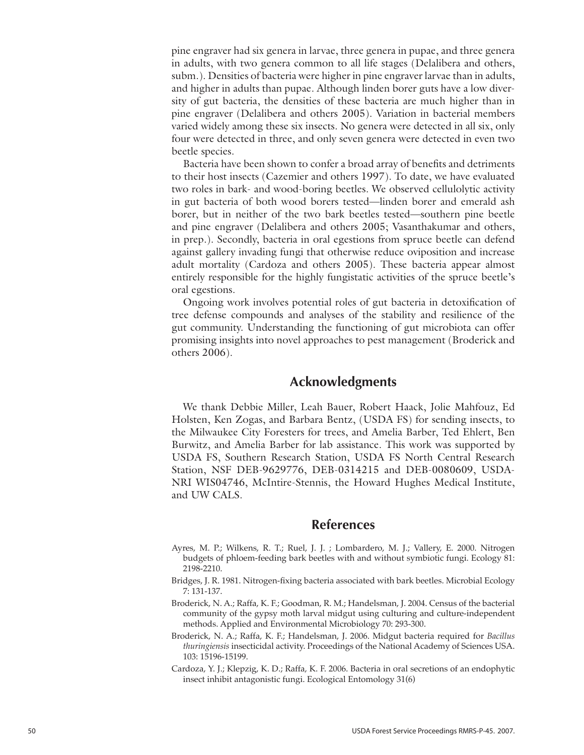pine engraver had six genera in larvae, three genera in pupae, and three genera in adults, with two genera common to all life stages (Delalibera and others, subm.). Densities of bacteria were higher in pine engraver larvae than in adults, and higher in adults than pupae. Although linden borer guts have a low diversity of gut bacteria, the densities of these bacteria are much higher than in pine engraver (Delalibera and others 2005). Variation in bacterial members varied widely among these six insects. No genera were detected in all six, only four were detected in three, and only seven genera were detected in even two beetle species.

Bacteria have been shown to confer a broad array of benefits and detriments to their host insects (Cazemier and others 1997). To date, we have evaluated two roles in bark- and wood-boring beetles. We observed cellulolytic activity in gut bacteria of both wood borers tested—linden borer and emerald ash borer, but in neither of the two bark beetles tested—southern pine beetle and pine engraver (Delalibera and others 2005; Vasanthakumar and others, in prep.). Secondly, bacteria in oral egestions from spruce beetle can defend against gallery invading fungi that otherwise reduce oviposition and increase adult mortality (Cardoza and others 2005). These bacteria appear almost entirely responsible for the highly fungistatic activities of the spruce beetle's oral egestions.

Ongoing work involves potential roles of gut bacteria in detoxification of tree defense compounds and analyses of the stability and resilience of the gut community. Understanding the functioning of gut microbiota can offer promising insights into novel approaches to pest management (Broderick and others 2006).

### **Acknowledgments**

We thank Debbie Miller, Leah Bauer, Robert Haack, Jolie Mahfouz, Ed Holsten, Ken Zogas, and Barbara Bentz, (USDA FS) for sending insects, to the Milwaukee City Foresters for trees, and Amelia Barber, Ted Ehlert, Ben Burwitz, and Amelia Barber for lab assistance. This work was supported by USDA FS, Southern Research Station, USDA FS North Central Research Station, NSF DEB-9629776, DEB-0314215 and DEB-0080609, USDA-NRI WIS04746, McIntire-Stennis, the Howard Hughes Medical Institute, and UW CALS.

### **References**

- Ayres, M. P.; Wilkens, R. T.; Ruel, J. J. ; Lombardero, M. J.; Vallery, E. 2000. Nitrogen budgets of phloem-feeding bark beetles with and without symbiotic fungi. Ecology 81: 2198-2210.
- Bridges, J. R. 1981. Nitrogen-fixing bacteria associated with bark beetles. Microbial Ecology 7: 131-137.
- Broderick, N. A.; Raffa, K. F.; Goodman, R. M.; Handelsman, J. 2004. Census of the bacterial community of the gypsy moth larval midgut using culturing and culture-independent methods. Applied and Environmental Microbiology 70: 293-300.
- Broderick, N. A.; Raffa, K. F.; Handelsman, J. 2006. Midgut bacteria required for *Bacillus thuringiensis* insecticidal activity. Proceedings of the National Academy of Sciences USA. 103: 15196-15199.
- Cardoza, Y. J.; Klepzig, K. D.; Raffa, K. F. 2006. Bacteria in oral secretions of an endophytic insect inhibit antagonistic fungi. Ecological Entomology 31(6)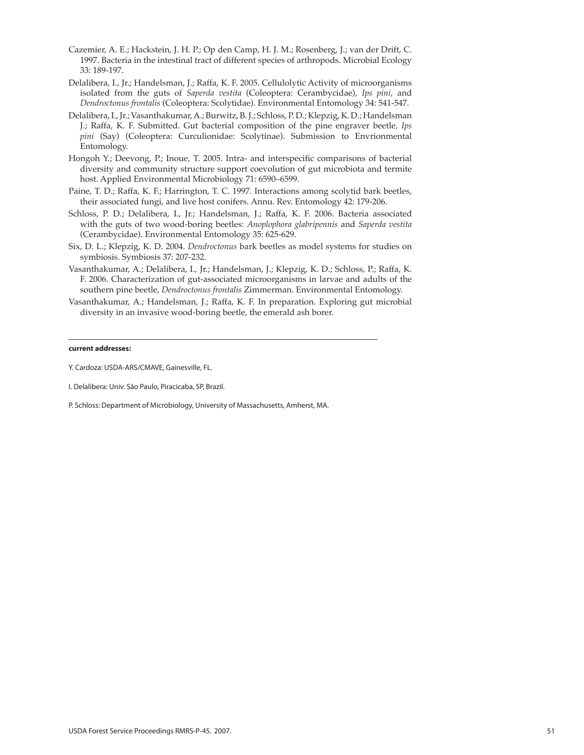- Cazemier, A. E.; Hackstein, J. H. P.; Op den Camp, H. J. M.; Rosenberg, J.; van der Drift, C. 1997. Bacteria in the intestinal tract of different species of arthropods. Microbial Ecology 33: 189-197.
- Delalibera, I., Jr.; Handelsman, J.; Raffa, K. F. 2005. Cellulolytic Activity of microorganisms isolated from the guts of *Saperda vestita* (Coleoptera: Cerambycidae), *Ips pini*, and *Dendroctonus frontalis* (Coleoptera: Scolytidae). Environmental Entomology 34: 541-547.
- Delalibera, I., Jr.; Vasanthakumar, A.; Burwitz, B. J.; Schloss, P. D.; Klepzig, K. D.; Handelsman J.; Raffa, K. F. Submitted. Gut bacterial composition of the pine engraver beetle, *Ips pini* (Say) (Coleoptera: Curculionidae: Scolytinae). Submission to Envrionmental Entomology.
- Hongoh Y.; Deevong, P.; Inoue, T. 2005. Intra- and interspecific comparisons of bacterial diversity and community structure support coevolution of gut microbiota and termite host. Applied Environmental Microbiology 71: 6590–6599.
- Paine, T. D.; Raffa, K. F.; Harrington, T. C. 1997. Interactions among scolytid bark beetles, their associated fungi, and live host conifers. Annu. Rev. Entomology 42: 179-206.
- Schloss, P. D.; Delalibera, I., Jr.; Handelsman, J.; Raffa, K. F. 2006. Bacteria associated with the guts of two wood-boring beetles: *Anoplophora glabripennis* and *Saperda vestita* (Cerambycidae). Environmental Entomology 35: 625-629.
- Six, D. L.; Klepzig, K. D. 2004. *Dendroctonus* bark beetles as model systems for studies on symbiosis. Symbiosis 37: 207-232.
- Vasanthakumar, A.; Delalibera, I., Jr.; Handelsman, J.; Klepzig, K. D.; Schloss, P.; Raffa, K. F. 2006. Characterization of gut-associated microorganisms in larvae and adults of the southern pine beetle, *Dendroctonus frontalis* Zimmerman. Environmental Entomology.
- Vasanthakumar, A.; Handelsman, J.; Raffa, K. F. In preparation. Exploring gut microbial diversity in an invasive wood-boring beetle, the emerald ash borer.

#### **current addresses:**

I. Delalibera: Univ. São Paulo, Piracicaba, SP, Brazil.

P. Schloss: Department of Microbiology, University of Massachusetts, Amherst, MA.

Y. Cardoza: USDA-ARS/CMAVE, Gainesville, FL.